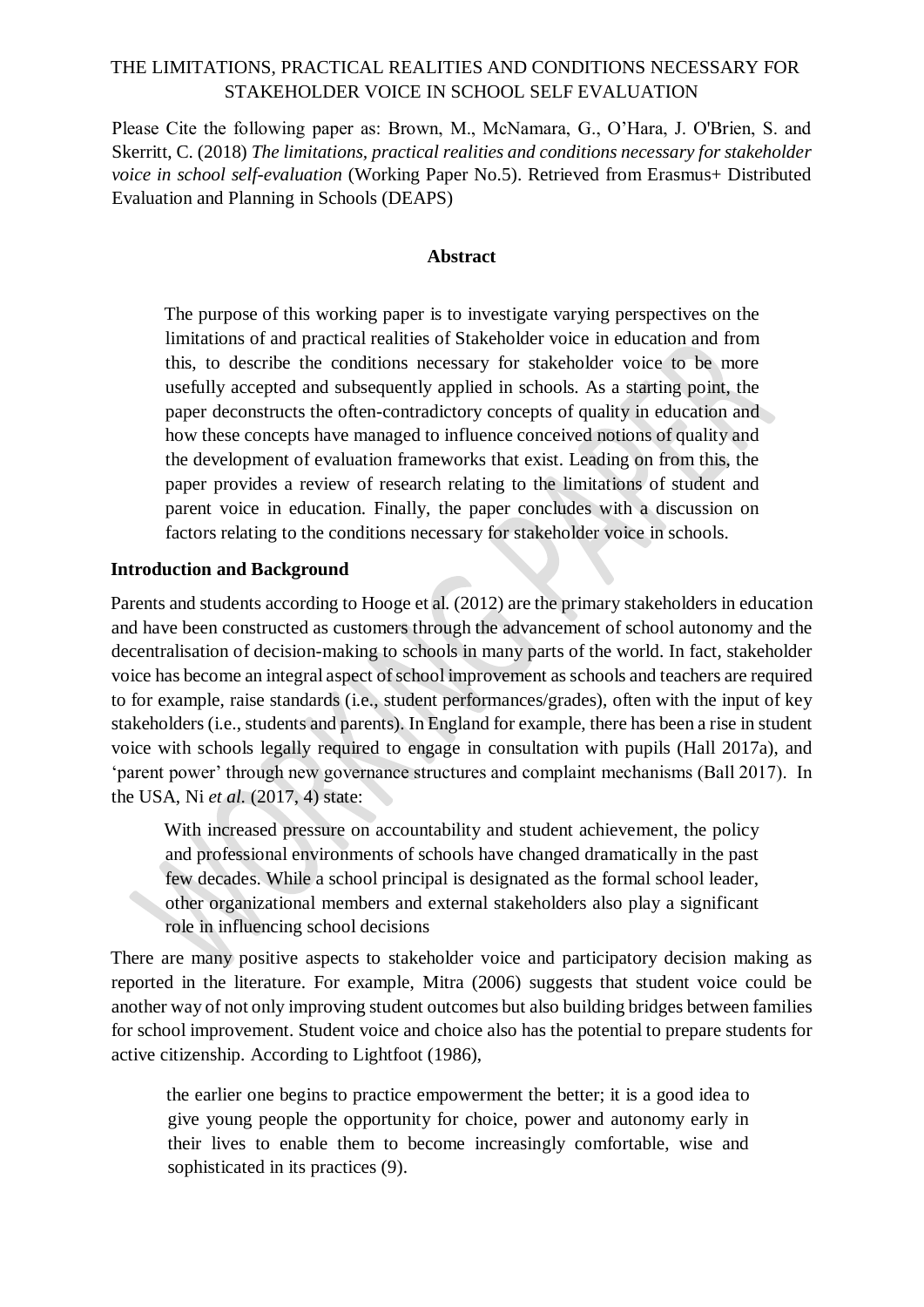Please Cite the following paper as: Brown, M., McNamara, G., O'Hara, J. O'Brien, S. and Skerritt, C. (2018) *The limitations, practical realities and conditions necessary for stakeholder voice in school self-evaluation* (Working Paper No.5). Retrieved from Erasmus+ Distributed Evaluation and Planning in Schools (DEAPS)

#### **Abstract**

The purpose of this working paper is to investigate varying perspectives on the limitations of and practical realities of Stakeholder voice in education and from this, to describe the conditions necessary for stakeholder voice to be more usefully accepted and subsequently applied in schools. As a starting point, the paper deconstructs the often-contradictory concepts of quality in education and how these concepts have managed to influence conceived notions of quality and the development of evaluation frameworks that exist. Leading on from this, the paper provides a review of research relating to the limitations of student and parent voice in education. Finally, the paper concludes with a discussion on factors relating to the conditions necessary for stakeholder voice in schools.

#### **Introduction and Background**

Parents and students according to Hooge et al. (2012) are the primary stakeholders in education and have been constructed as customers through the advancement of school autonomy and the decentralisation of decision-making to schools in many parts of the world. In fact, stakeholder voice has become an integral aspect of school improvement as schools and teachers are required to for example, raise standards (i.e., student performances/grades), often with the input of key stakeholders (i.e., students and parents). In England for example, there has been a rise in student voice with schools legally required to engage in consultation with pupils (Hall 2017a), and 'parent power' through new governance structures and complaint mechanisms (Ball 2017). In the USA, Ni *et al.* (2017, 4) state:

With increased pressure on accountability and student achievement, the policy and professional environments of schools have changed dramatically in the past few decades. While a school principal is designated as the formal school leader, other organizational members and external stakeholders also play a significant role in influencing school decisions

There are many positive aspects to stakeholder voice and participatory decision making as reported in the literature. For example, Mitra (2006) suggests that student voice could be another way of not only improving student outcomes but also building bridges between families for school improvement. Student voice and choice also has the potential to prepare students for active citizenship. According to Lightfoot (1986),

the earlier one begins to practice empowerment the better; it is a good idea to give young people the opportunity for choice, power and autonomy early in their lives to enable them to become increasingly comfortable, wise and sophisticated in its practices (9).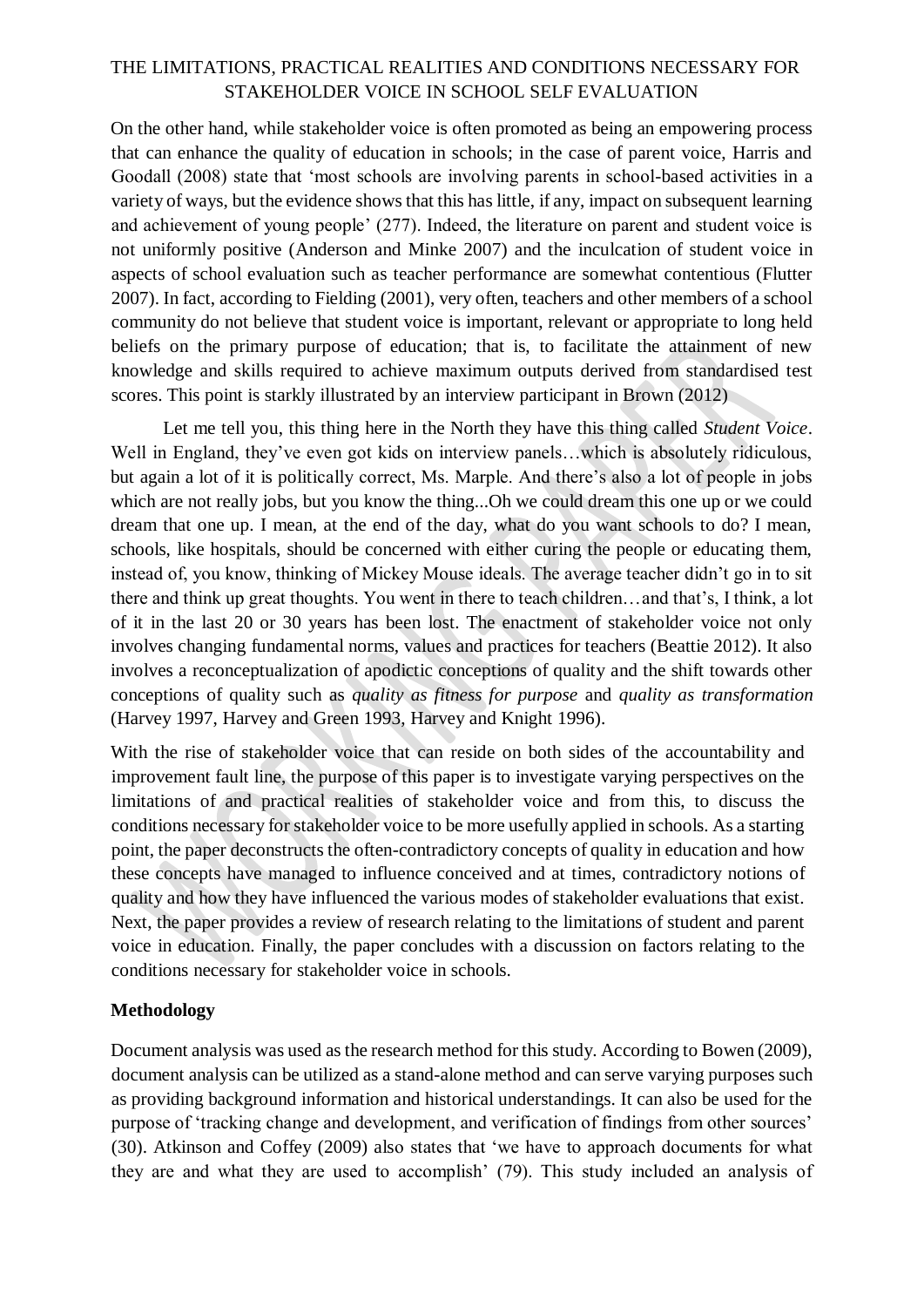On the other hand, while stakeholder voice is often promoted as being an empowering process that can enhance the quality of education in schools; in the case of parent voice, Harris and Goodall (2008) state that 'most schools are involving parents in school-based activities in a variety of ways, but the evidence shows that this has little, if any, impact on subsequent learning and achievement of young people' (277). Indeed, the literature on parent and student voice is not uniformly positive (Anderson and Minke 2007) and the inculcation of student voice in aspects of school evaluation such as teacher performance are somewhat contentious (Flutter 2007). In fact, according to Fielding (2001), very often, teachers and other members of a school community do not believe that student voice is important, relevant or appropriate to long held beliefs on the primary purpose of education; that is, to facilitate the attainment of new knowledge and skills required to achieve maximum outputs derived from standardised test scores. This point is starkly illustrated by an interview participant in Brown (2012)

Let me tell you, this thing here in the North they have this thing called *Student Voice*. Well in England, they've even got kids on interview panels...which is absolutely ridiculous, but again a lot of it is politically correct, Ms. Marple. And there's also a lot of people in jobs which are not really jobs, but you know the thing...Oh we could dream this one up or we could dream that one up. I mean, at the end of the day, what do you want schools to do? I mean, schools, like hospitals, should be concerned with either curing the people or educating them, instead of, you know, thinking of Mickey Mouse ideals. The average teacher didn't go in to sit there and think up great thoughts. You went in there to teach children…and that's, I think, a lot of it in the last 20 or 30 years has been lost. The enactment of stakeholder voice not only involves changing fundamental norms, values and practices for teachers (Beattie 2012). It also involves a reconceptualization of apodictic conceptions of quality and the shift towards other conceptions of quality such as *quality as fitness for purpose* and *quality as transformation*  (Harvey 1997, Harvey and Green 1993, Harvey and Knight 1996).

With the rise of stakeholder voice that can reside on both sides of the accountability and improvement fault line, the purpose of this paper is to investigate varying perspectives on the limitations of and practical realities of stakeholder voice and from this, to discuss the conditions necessary for stakeholder voice to be more usefully applied in schools. As a starting point, the paper deconstructs the often-contradictory concepts of quality in education and how these concepts have managed to influence conceived and at times, contradictory notions of quality and how they have influenced the various modes of stakeholder evaluations that exist. Next, the paper provides a review of research relating to the limitations of student and parent voice in education. Finally, the paper concludes with a discussion on factors relating to the conditions necessary for stakeholder voice in schools.

#### **Methodology**

Document analysis was used as the research method for this study. According to Bowen (2009), document analysis can be utilized as a stand-alone method and can serve varying purposes such as providing background information and historical understandings. It can also be used for the purpose of 'tracking change and development, and verification of findings from other sources' (30). Atkinson and Coffey (2009) also states that 'we have to approach documents for what they are and what they are used to accomplish' (79). This study included an analysis of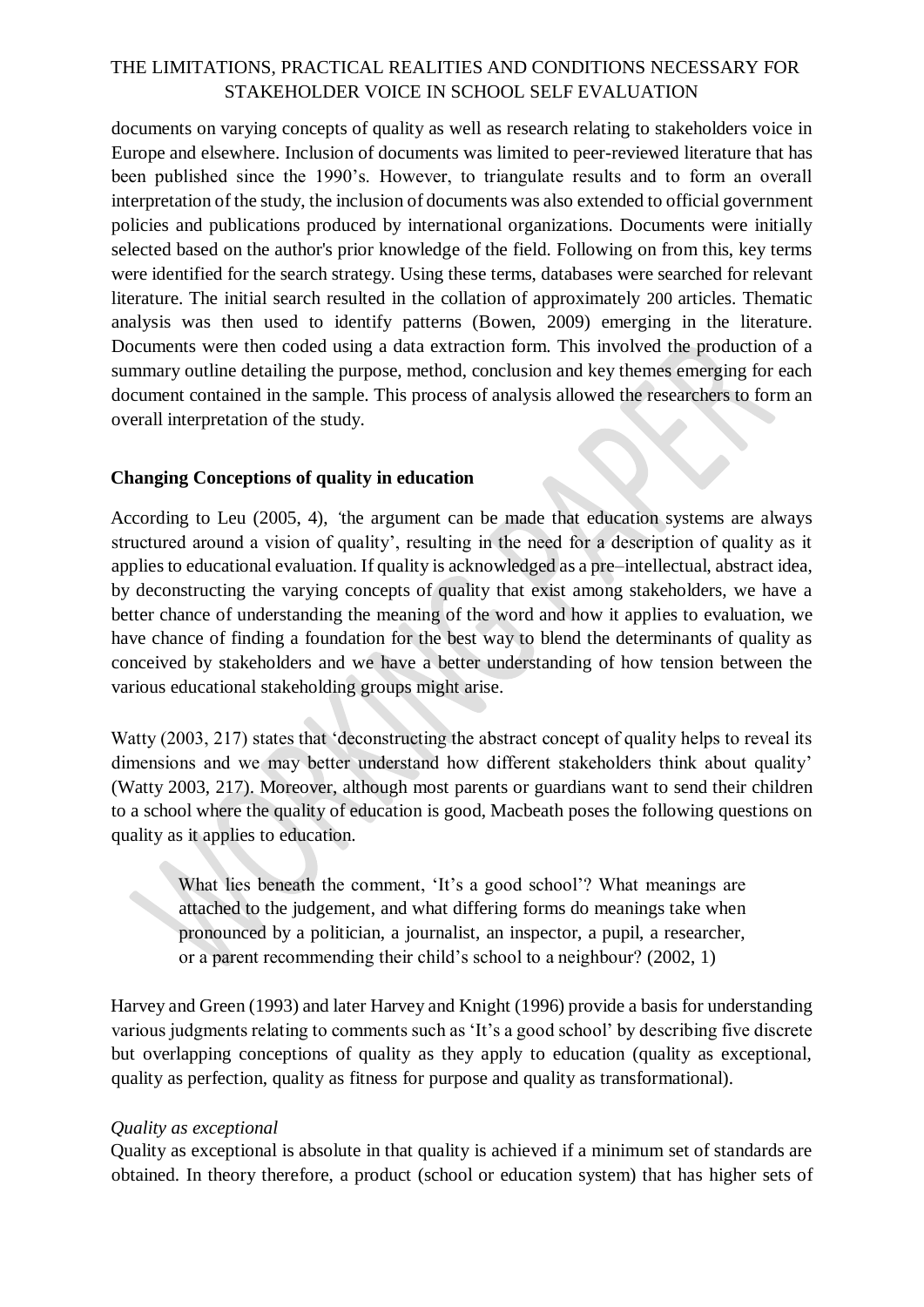documents on varying concepts of quality as well as research relating to stakeholders voice in Europe and elsewhere. Inclusion of documents was limited to peer-reviewed literature that has been published since the 1990's. However, to triangulate results and to form an overall interpretation of the study, the inclusion of documents was also extended to official government policies and publications produced by international organizations. Documents were initially selected based on the author's prior knowledge of the field. Following on from this, key terms were identified for the search strategy. Using these terms, databases were searched for relevant literature. The initial search resulted in the collation of approximately 200 articles. Thematic analysis was then used to identify patterns (Bowen, 2009) emerging in the literature. Documents were then coded using a data extraction form. This involved the production of a summary outline detailing the purpose, method, conclusion and key themes emerging for each document contained in the sample. This process of analysis allowed the researchers to form an overall interpretation of the study.

#### **Changing Conceptions of quality in education**

According to Leu (2005, 4), *'*the argument can be made that education systems are always structured around a vision of quality', resulting in the need for a description of quality as it applies to educational evaluation. If quality is acknowledged as a pre–intellectual, abstract idea, by deconstructing the varying concepts of quality that exist among stakeholders, we have a better chance of understanding the meaning of the word and how it applies to evaluation, we have chance of finding a foundation for the best way to blend the determinants of quality as conceived by stakeholders and we have a better understanding of how tension between the various educational stakeholding groups might arise.

Watty (2003, 217) states that 'deconstructing the abstract concept of quality helps to reveal its dimensions and we may better understand how different stakeholders think about quality' (Watty 2003, 217). Moreover, although most parents or guardians want to send their children to a school where the quality of education is good, Macbeath poses the following questions on quality as it applies to education.

What lies beneath the comment, 'It's a good school'? What meanings are attached to the judgement, and what differing forms do meanings take when pronounced by a politician, a journalist, an inspector, a pupil, a researcher, or a parent recommending their child's school to a neighbour? (2002, 1)

Harvey and Green (1993) and later Harvey and Knight (1996) provide a basis for understanding various judgments relating to comments such as 'It's a good school' by describing five discrete but overlapping conceptions of quality as they apply to education (quality as exceptional, quality as perfection, quality as fitness for purpose and quality as transformational).

#### *Quality as exceptional*

Quality as exceptional is absolute in that quality is achieved if a minimum set of standards are obtained. In theory therefore, a product (school or education system) that has higher sets of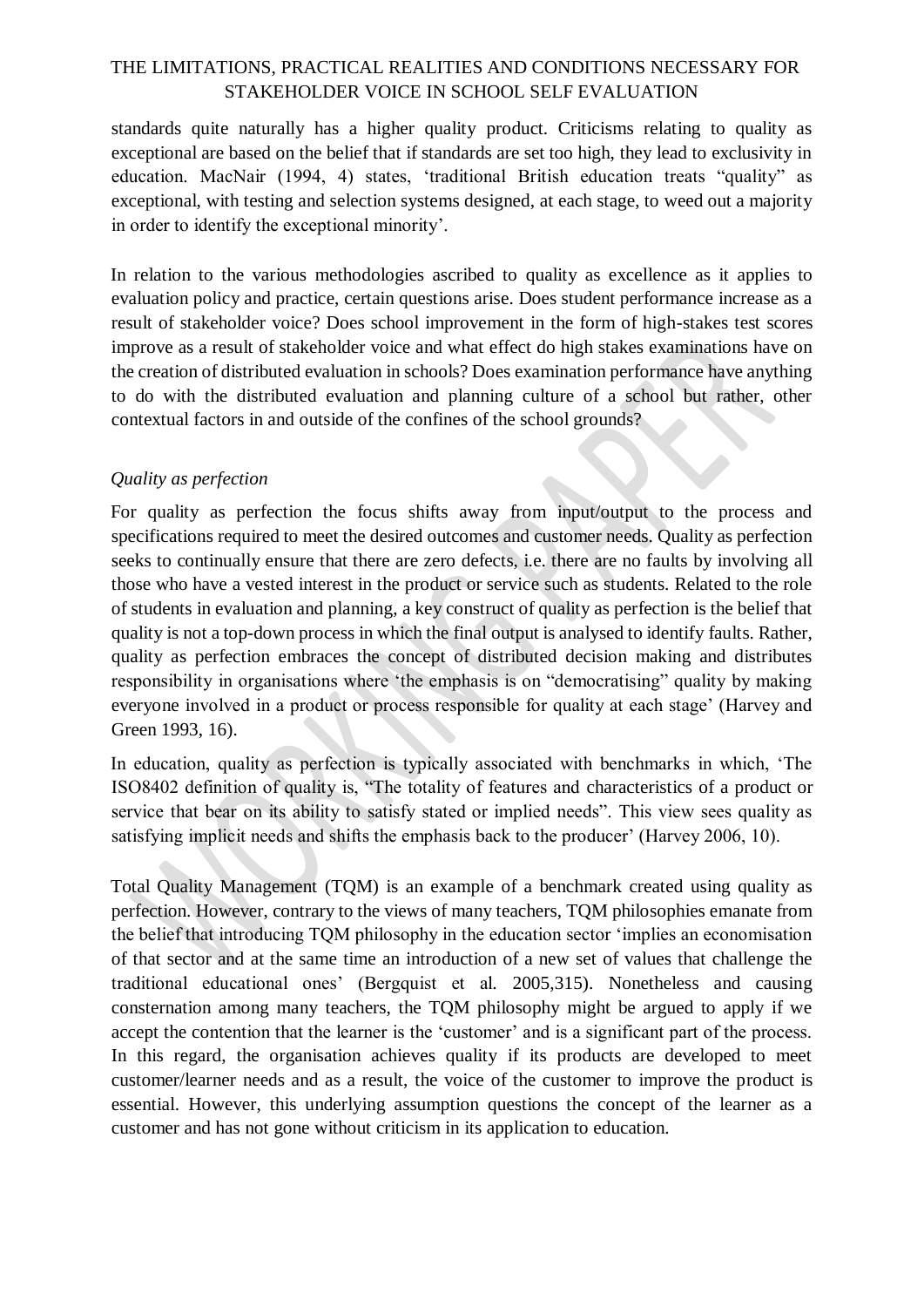standards quite naturally has a higher quality product. Criticisms relating to quality as exceptional are based on the belief that if standards are set too high, they lead to exclusivity in education. MacNair (1994, 4) states, 'traditional British education treats "quality" as exceptional, with testing and selection systems designed, at each stage, to weed out a majority in order to identify the exceptional minority'.

In relation to the various methodologies ascribed to quality as excellence as it applies to evaluation policy and practice, certain questions arise. Does student performance increase as a result of stakeholder voice? Does school improvement in the form of high-stakes test scores improve as a result of stakeholder voice and what effect do high stakes examinations have on the creation of distributed evaluation in schools? Does examination performance have anything to do with the distributed evaluation and planning culture of a school but rather, other contextual factors in and outside of the confines of the school grounds?

### *Quality as perfection*

For quality as perfection the focus shifts away from input/output to the process and specifications required to meet the desired outcomes and customer needs. Quality as perfection seeks to continually ensure that there are zero defects, i.e. there are no faults by involving all those who have a vested interest in the product or service such as students. Related to the role of students in evaluation and planning, a key construct of quality as perfection is the belief that quality is not a top-down process in which the final output is analysed to identify faults. Rather, quality as perfection embraces the concept of distributed decision making and distributes responsibility in organisations where 'the emphasis is on "democratising" quality by making everyone involved in a product or process responsible for quality at each stage' (Harvey and Green 1993, 16).

In education, quality as perfection is typically associated with benchmarks in which, 'The ISO8402 definition of quality is, "The totality of features and characteristics of a product or service that bear on its ability to satisfy stated or implied needs". This view sees quality as satisfying implicit needs and shifts the emphasis back to the producer' (Harvey 2006, 10).

Total Quality Management (TQM) is an example of a benchmark created using quality as perfection. However, contrary to the views of many teachers, TQM philosophies emanate from the belief that introducing TQM philosophy in the education sector 'implies an economisation of that sector and at the same time an introduction of a new set of values that challenge the traditional educational ones' (Bergquist et al*.* 2005,315). Nonetheless and causing consternation among many teachers, the TQM philosophy might be argued to apply if we accept the contention that the learner is the 'customer' and is a significant part of the process. In this regard, the organisation achieves quality if its products are developed to meet customer/learner needs and as a result, the voice of the customer to improve the product is essential. However, this underlying assumption questions the concept of the learner as a customer and has not gone without criticism in its application to education.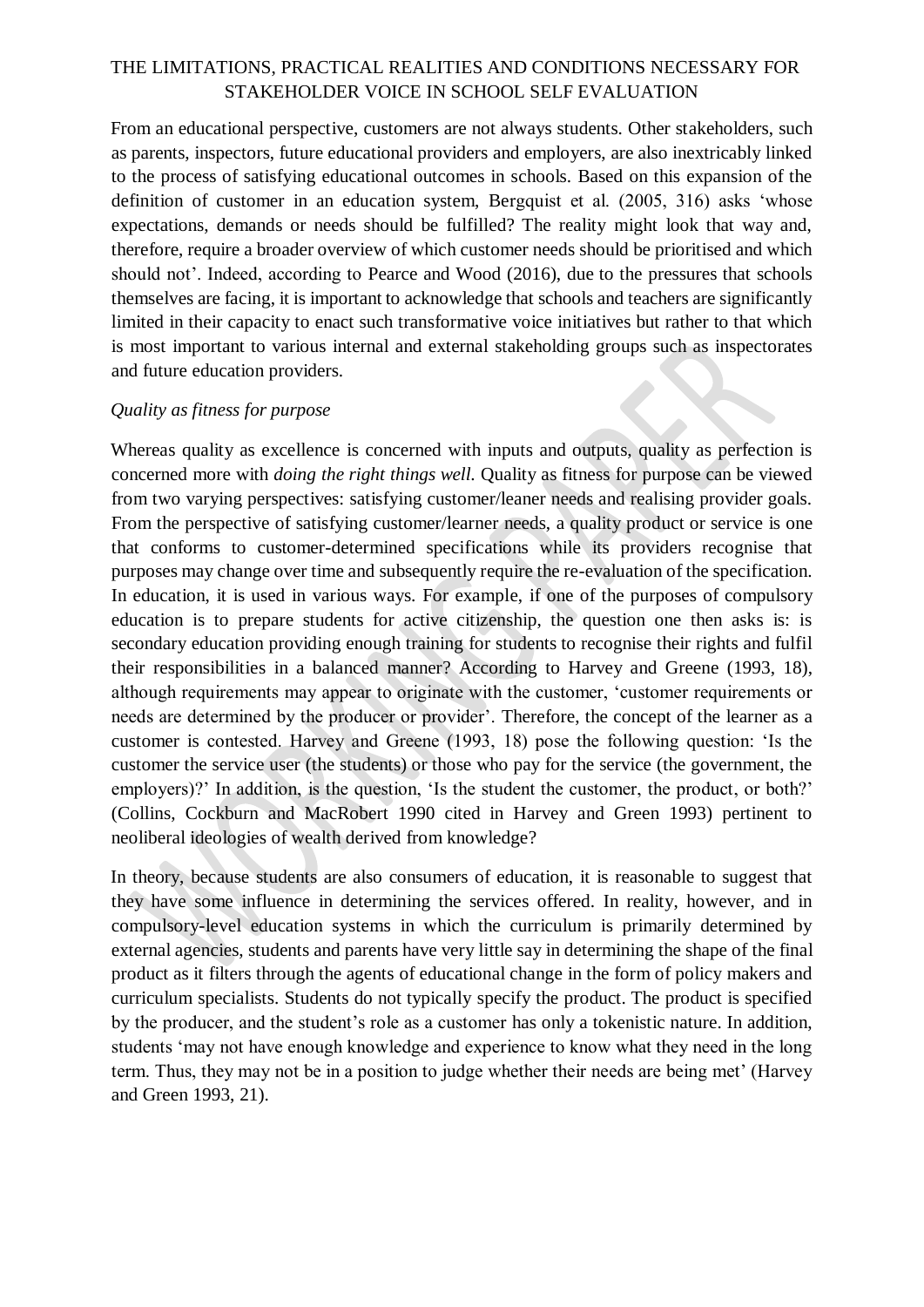From an educational perspective, customers are not always students. Other stakeholders, such as parents, inspectors, future educational providers and employers, are also inextricably linked to the process of satisfying educational outcomes in schools. Based on this expansion of the definition of customer in an education system, Bergquist et al. (2005, 316) asks 'whose expectations, demands or needs should be fulfilled? The reality might look that way and, therefore, require a broader overview of which customer needs should be prioritised and which should not'. Indeed, according to Pearce and Wood (2016), due to the pressures that schools themselves are facing, it is important to acknowledge that schools and teachers are significantly limited in their capacity to enact such transformative voice initiatives but rather to that which is most important to various internal and external stakeholding groups such as inspectorates and future education providers.

#### *Quality as fitness for purpose*

Whereas quality as excellence is concerned with inputs and outputs, quality as perfection is concerned more with *doing the right things well.* Quality as fitness for purpose can be viewed from two varying perspectives: satisfying customer/leaner needs and realising provider goals. From the perspective of satisfying customer/learner needs, a quality product or service is one that conforms to customer-determined specifications while its providers recognise that purposes may change over time and subsequently require the re-evaluation of the specification. In education, it is used in various ways. For example, if one of the purposes of compulsory education is to prepare students for active citizenship, the question one then asks is: is secondary education providing enough training for students to recognise their rights and fulfil their responsibilities in a balanced manner? According to Harvey and Greene (1993, 18), although requirements may appear to originate with the customer, 'customer requirements or needs are determined by the producer or provider'. Therefore, the concept of the learner as a customer is contested. Harvey and Greene (1993, 18) pose the following question: 'Is the customer the service user (the students) or those who pay for the service (the government, the employers)?' In addition, is the question, 'Is the student the customer, the product, or both?' (Collins, Cockburn and MacRobert 1990 cited in Harvey and Green 1993) pertinent to neoliberal ideologies of wealth derived from knowledge?

In theory, because students are also consumers of education, it is reasonable to suggest that they have some influence in determining the services offered. In reality, however, and in compulsory-level education systems in which the curriculum is primarily determined by external agencies, students and parents have very little say in determining the shape of the final product as it filters through the agents of educational change in the form of policy makers and curriculum specialists. Students do not typically specify the product. The product is specified by the producer, and the student's role as a customer has only a tokenistic nature. In addition, students 'may not have enough knowledge and experience to know what they need in the long term. Thus, they may not be in a position to judge whether their needs are being met' (Harvey and Green 1993, 21).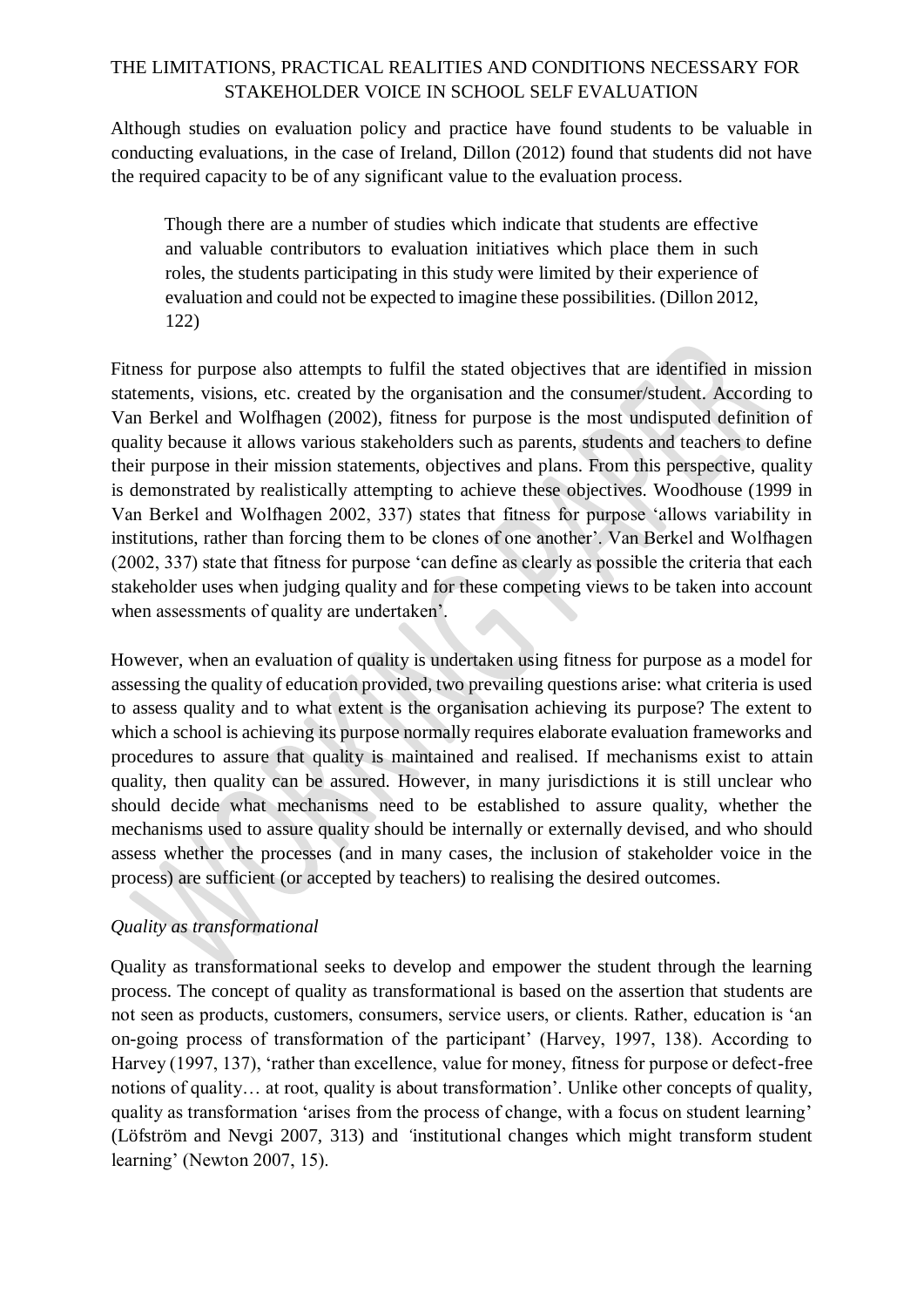Although studies on evaluation policy and practice have found students to be valuable in conducting evaluations, in the case of Ireland, Dillon (2012) found that students did not have the required capacity to be of any significant value to the evaluation process.

Though there are a number of studies which indicate that students are effective and valuable contributors to evaluation initiatives which place them in such roles, the students participating in this study were limited by their experience of evaluation and could not be expected to imagine these possibilities. (Dillon 2012, 122)

Fitness for purpose also attempts to fulfil the stated objectives that are identified in mission statements, visions, etc. created by the organisation and the consumer/student. According to Van Berkel and Wolfhagen (2002), fitness for purpose is the most undisputed definition of quality because it allows various stakeholders such as parents, students and teachers to define their purpose in their mission statements, objectives and plans. From this perspective, quality is demonstrated by realistically attempting to achieve these objectives. Woodhouse (1999 in Van Berkel and Wolfhagen 2002, 337) states that fitness for purpose 'allows variability in institutions, rather than forcing them to be clones of one another'. Van Berkel and Wolfhagen (2002, 337) state that fitness for purpose 'can define as clearly as possible the criteria that each stakeholder uses when judging quality and for these competing views to be taken into account when assessments of quality are undertaken'.

However, when an evaluation of quality is undertaken using fitness for purpose as a model for assessing the quality of education provided, two prevailing questions arise: what criteria is used to assess quality and to what extent is the organisation achieving its purpose? The extent to which a school is achieving its purpose normally requires elaborate evaluation frameworks and procedures to assure that quality is maintained and realised. If mechanisms exist to attain quality, then quality can be assured. However, in many jurisdictions it is still unclear who should decide what mechanisms need to be established to assure quality, whether the mechanisms used to assure quality should be internally or externally devised, and who should assess whether the processes (and in many cases, the inclusion of stakeholder voice in the process) are sufficient (or accepted by teachers) to realising the desired outcomes.

## *Quality as transformational*

Quality as transformational seeks to develop and empower the student through the learning process. The concept of quality as transformational is based on the assertion that students are not seen as products, customers, consumers, service users, or clients. Rather, education is 'an on-going process of transformation of the participant' (Harvey, 1997, 138). According to Harvey (1997, 137), 'rather than excellence, value for money, fitness for purpose or defect-free notions of quality… at root, quality is about transformation'. Unlike other concepts of quality, quality as transformation 'arises from the process of change, with a focus on student learning' (Löfström and Nevgi 2007, 313) and *'*institutional changes which might transform student learning' (Newton 2007, 15).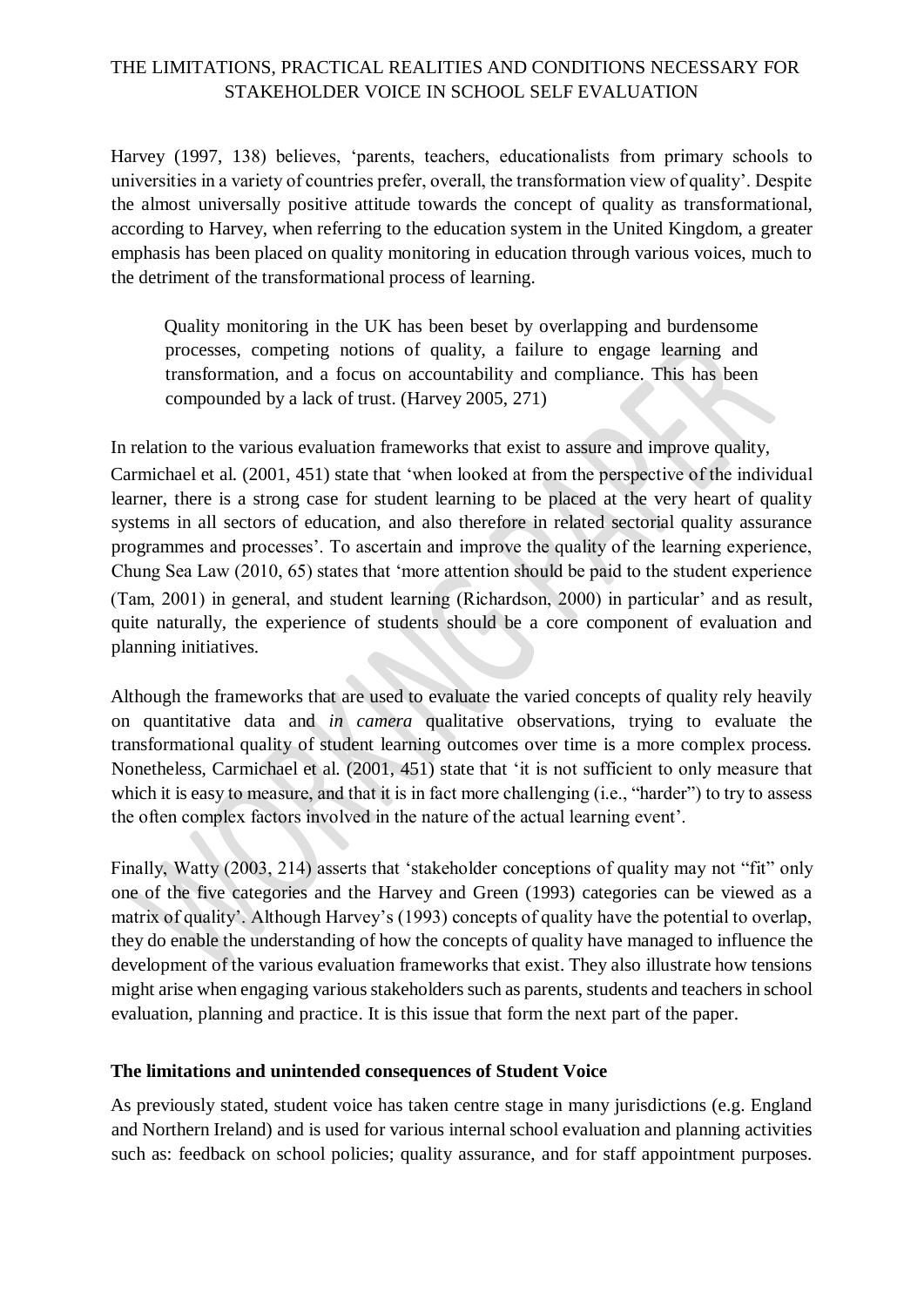Harvey (1997, 138) believes, 'parents, teachers, educationalists from primary schools to universities in a variety of countries prefer, overall, the transformation view of quality'. Despite the almost universally positive attitude towards the concept of quality as transformational, according to Harvey, when referring to the education system in the United Kingdom, a greater emphasis has been placed on quality monitoring in education through various voices, much to the detriment of the transformational process of learning.

Quality monitoring in the UK has been beset by overlapping and burdensome processes, competing notions of quality, a failure to engage learning and transformation, and a focus on accountability and compliance. This has been compounded by a lack of trust. (Harvey 2005, 271)

In relation to the various evaluation frameworks that exist to assure and improve quality, Carmichael et al*.* (2001, 451) state that 'when looked at from the perspective of the individual learner, there is a strong case for student learning to be placed at the very heart of quality systems in all sectors of education, and also therefore in related sectorial quality assurance programmes and processes'. To ascertain and improve the quality of the learning experience, Chung Sea Law (2010, 65) states that 'more attention should be paid to the student experience (Tam, 2001) in general, and student learning (Richardson, 2000) in particular' and as result, quite naturally, the experience of students should be a core component of evaluation and planning initiatives.

Although the frameworks that are used to evaluate the varied concepts of quality rely heavily on quantitative data and *in camera* qualitative observations, trying to evaluate the transformational quality of student learning outcomes over time is a more complex process. Nonetheless, Carmichael et al*.* (2001, 451) state that 'it is not sufficient to only measure that which it is easy to measure, and that it is in fact more challenging (i.e., "harder") to try to assess the often complex factors involved in the nature of the actual learning event'.

Finally, Watty (2003, 214) asserts that 'stakeholder conceptions of quality may not "fit" only one of the five categories and the Harvey and Green (1993) categories can be viewed as a matrix of quality'. Although Harvey's (1993) concepts of quality have the potential to overlap, they do enable the understanding of how the concepts of quality have managed to influence the development of the various evaluation frameworks that exist. They also illustrate how tensions might arise when engaging various stakeholders such as parents, students and teachers in school evaluation, planning and practice. It is this issue that form the next part of the paper.

#### **The limitations and unintended consequences of Student Voice**

As previously stated, student voice has taken centre stage in many jurisdictions (e.g. England and Northern Ireland) and is used for various internal school evaluation and planning activities such as: feedback on school policies; quality assurance, and for staff appointment purposes.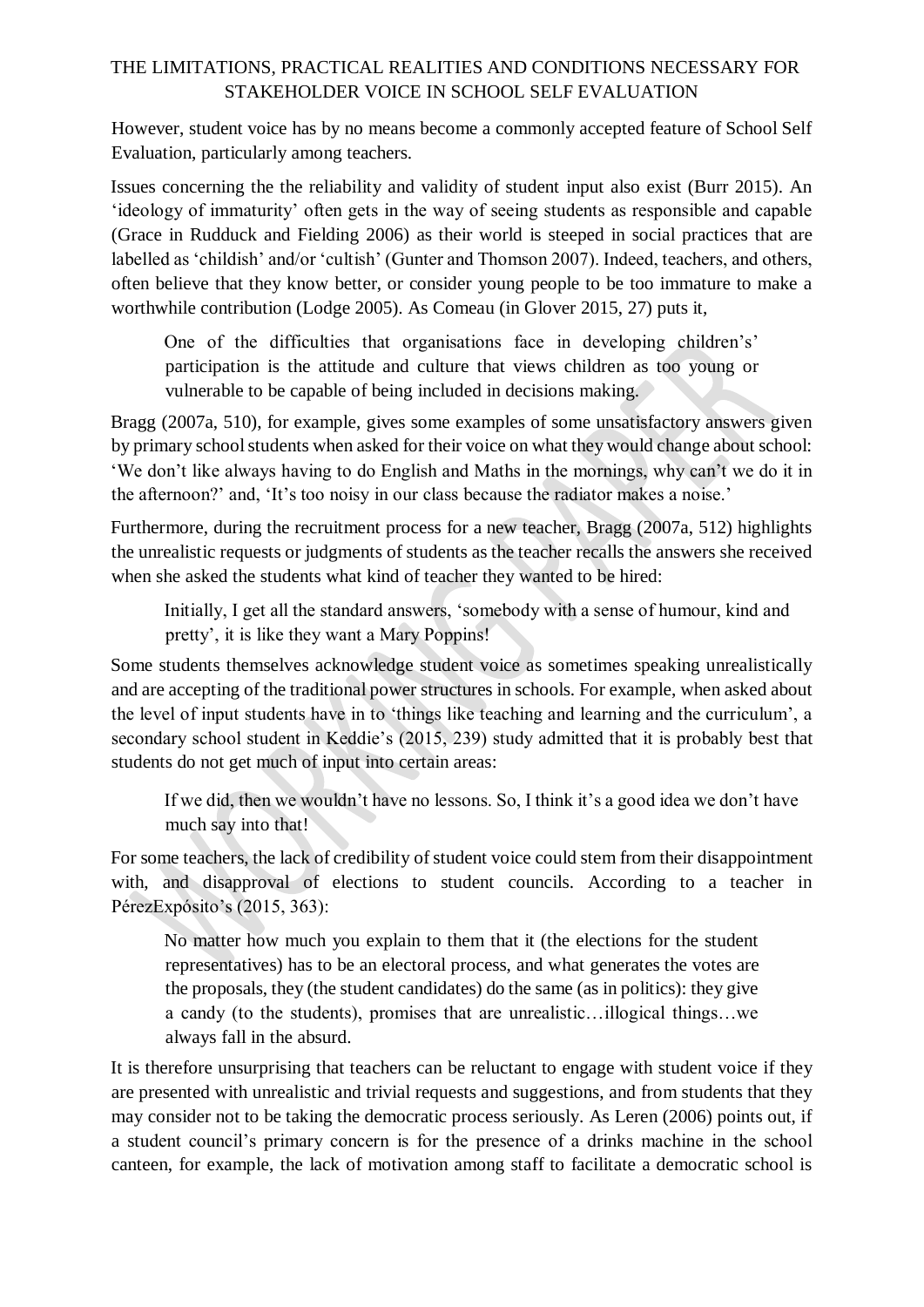However, student voice has by no means become a commonly accepted feature of School Self Evaluation, particularly among teachers.

Issues concerning the the reliability and validity of student input also exist (Burr 2015). An 'ideology of immaturity' often gets in the way of seeing students as responsible and capable (Grace in Rudduck and Fielding 2006) as their world is steeped in social practices that are labelled as 'childish' and/or 'cultish' (Gunter and Thomson 2007). Indeed, teachers, and others, often believe that they know better, or consider young people to be too immature to make a worthwhile contribution (Lodge 2005). As Comeau (in Glover 2015, 27) puts it,

One of the difficulties that organisations face in developing children's' participation is the attitude and culture that views children as too young or vulnerable to be capable of being included in decisions making.

Bragg (2007a, 510), for example, gives some examples of some unsatisfactory answers given by primary school students when asked for their voice on what they would change about school: 'We don't like always having to do English and Maths in the mornings, why can't we do it in the afternoon?' and, 'It's too noisy in our class because the radiator makes a noise.'

Furthermore, during the recruitment process for a new teacher, Bragg (2007a, 512) highlights the unrealistic requests or judgments of students as the teacher recalls the answers she received when she asked the students what kind of teacher they wanted to be hired:

Initially, I get all the standard answers, 'somebody with a sense of humour, kind and pretty', it is like they want a Mary Poppins!

Some students themselves acknowledge student voice as sometimes speaking unrealistically and are accepting of the traditional power structures in schools. For example, when asked about the level of input students have in to 'things like teaching and learning and the curriculum', a secondary school student in Keddie's (2015, 239) study admitted that it is probably best that students do not get much of input into certain areas:

If we did, then we wouldn't have no lessons. So, I think it's a good idea we don't have much say into that!

For some teachers, the lack of credibility of student voice could stem from their disappointment with, and disapproval of elections to student councils. According to a teacher in PérezExpósito's (2015, 363):

No matter how much you explain to them that it (the elections for the student representatives) has to be an electoral process, and what generates the votes are the proposals, they (the student candidates) do the same (as in politics): they give a candy (to the students), promises that are unrealistic…illogical things…we always fall in the absurd.

It is therefore unsurprising that teachers can be reluctant to engage with student voice if they are presented with unrealistic and trivial requests and suggestions, and from students that they may consider not to be taking the democratic process seriously. As Leren (2006) points out, if a student council's primary concern is for the presence of a drinks machine in the school canteen, for example, the lack of motivation among staff to facilitate a democratic school is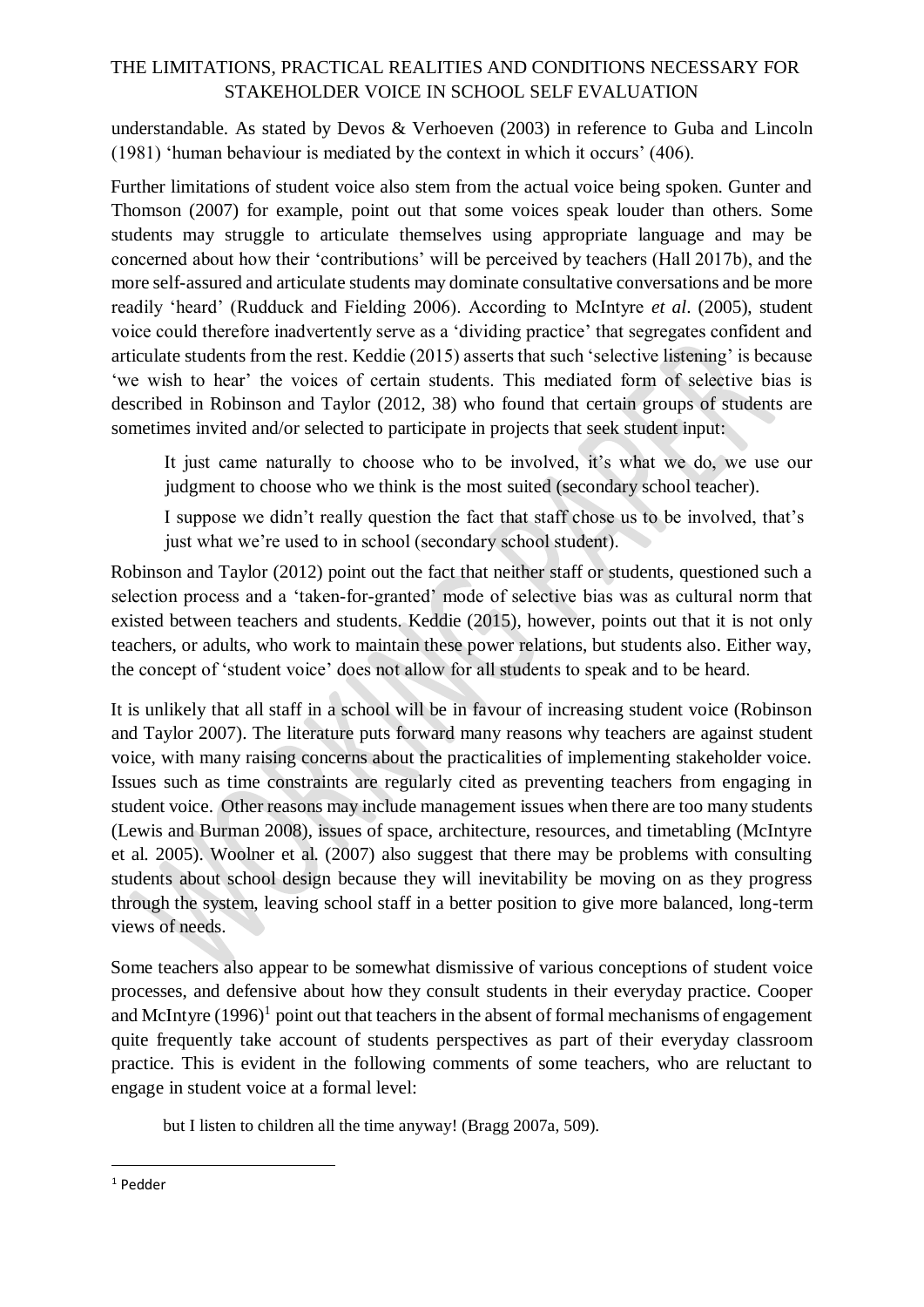understandable. As stated by Devos & Verhoeven (2003) in reference to Guba and Lincoln (1981) 'human behaviour is mediated by the context in which it occurs' (406).

Further limitations of student voice also stem from the actual voice being spoken. Gunter and Thomson (2007) for example, point out that some voices speak louder than others. Some students may struggle to articulate themselves using appropriate language and may be concerned about how their 'contributions' will be perceived by teachers (Hall 2017b), and the more self-assured and articulate students may dominate consultative conversations and be more readily 'heard' (Rudduck and Fielding 2006). According to McIntyre *et al*. (2005), student voice could therefore inadvertently serve as a 'dividing practice' that segregates confident and articulate students from the rest. Keddie (2015) asserts that such 'selective listening' is because 'we wish to hear' the voices of certain students. This mediated form of selective bias is described in Robinson and Taylor (2012, 38) who found that certain groups of students are sometimes invited and/or selected to participate in projects that seek student input:

It just came naturally to choose who to be involved, it's what we do, we use our judgment to choose who we think is the most suited (secondary school teacher).

I suppose we didn't really question the fact that staff chose us to be involved, that's just what we're used to in school (secondary school student).

Robinson and Taylor (2012) point out the fact that neither staff or students, questioned such a selection process and a 'taken-for-granted' mode of selective bias was as cultural norm that existed between teachers and students. Keddie (2015), however, points out that it is not only teachers, or adults, who work to maintain these power relations, but students also. Either way, the concept of 'student voice' does not allow for all students to speak and to be heard.

It is unlikely that all staff in a school will be in favour of increasing student voice (Robinson and Taylor 2007). The literature puts forward many reasons why teachers are against student voice, with many raising concerns about the practicalities of implementing stakeholder voice. Issues such as time constraints are regularly cited as preventing teachers from engaging in student voice. Other reasons may include management issues when there are too many students (Lewis and Burman 2008), issues of space, architecture, resources, and timetabling (McIntyre et al. 2005). Woolner et al. (2007) also suggest that there may be problems with consulting students about school design because they will inevitability be moving on as they progress through the system, leaving school staff in a better position to give more balanced, long-term views of needs.

Some teachers also appear to be somewhat dismissive of various conceptions of student voice processes, and defensive about how they consult students in their everyday practice. Cooper and McIntyre  $(1996)^1$  point out that teachers in the absent of formal mechanisms of engagement quite frequently take account of students perspectives as part of their everyday classroom practice. This is evident in the following comments of some teachers, who are reluctant to engage in student voice at a formal level:

but I listen to children all the time anyway! (Bragg 2007a, 509).

<sup>1</sup> Pedder

1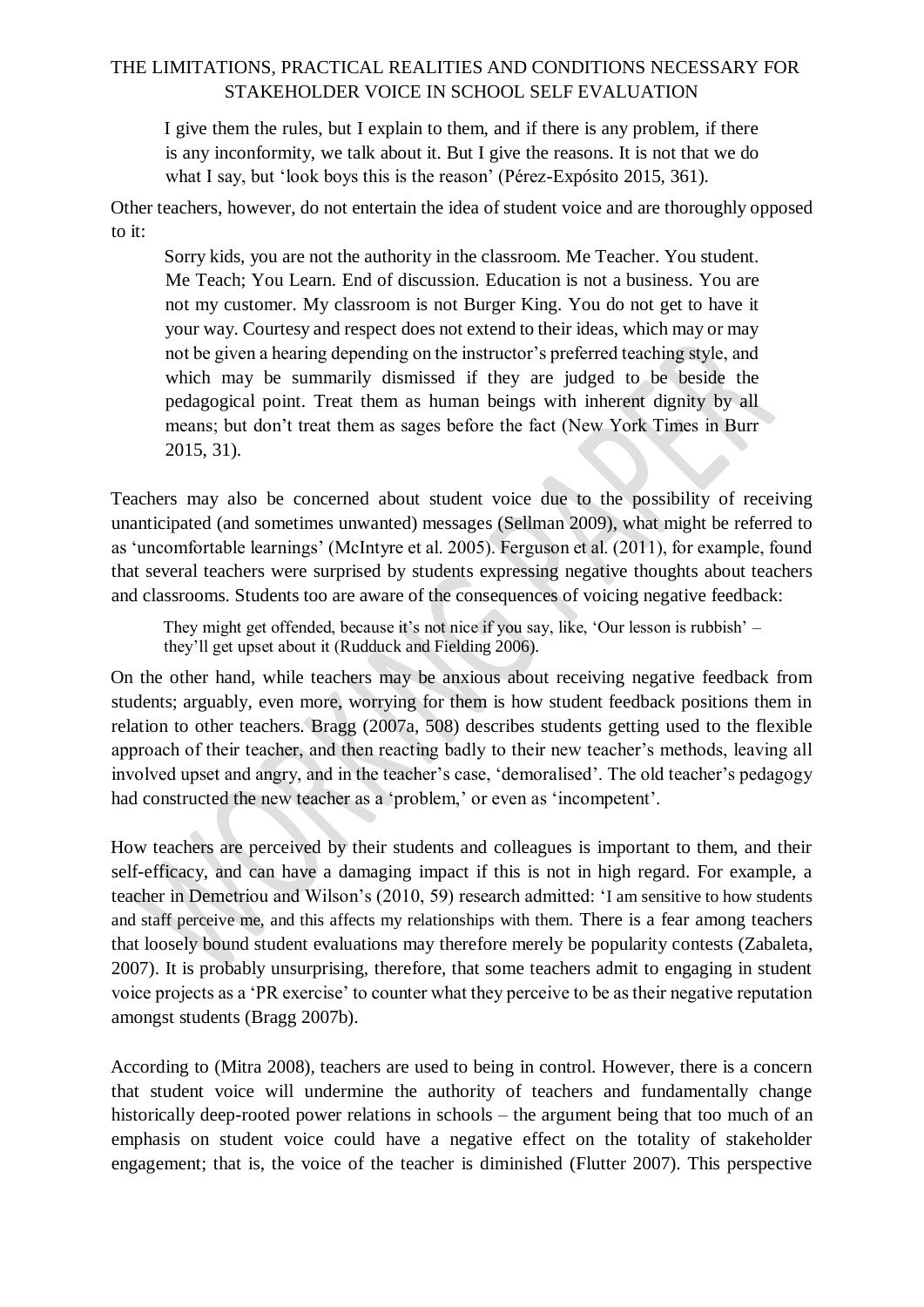I give them the rules, but I explain to them, and if there is any problem, if there is any inconformity, we talk about it. But I give the reasons. It is not that we do what I say, but 'look boys this is the reason' (Pérez-Expósito 2015, 361).

Other teachers, however, do not entertain the idea of student voice and are thoroughly opposed to it:

Sorry kids, you are not the authority in the classroom. Me Teacher. You student. Me Teach; You Learn. End of discussion. Education is not a business. You are not my customer. My classroom is not Burger King. You do not get to have it your way. Courtesy and respect does not extend to their ideas, which may or may not be given a hearing depending on the instructor's preferred teaching style, and which may be summarily dismissed if they are judged to be beside the pedagogical point. Treat them as human beings with inherent dignity by all means; but don't treat them as sages before the fact (New York Times in Burr 2015, 31).

Teachers may also be concerned about student voice due to the possibility of receiving unanticipated (and sometimes unwanted) messages (Sellman 2009), what might be referred to as 'uncomfortable learnings' (McIntyre et al. 2005). Ferguson et al. (2011), for example, found that several teachers were surprised by students expressing negative thoughts about teachers and classrooms. Students too are aware of the consequences of voicing negative feedback:

They might get offended, because it's not nice if you say, like, 'Our lesson is rubbish' – they'll get upset about it (Rudduck and Fielding 2006).

On the other hand, while teachers may be anxious about receiving negative feedback from students; arguably, even more, worrying for them is how student feedback positions them in relation to other teachers. Bragg (2007a, 508) describes students getting used to the flexible approach of their teacher, and then reacting badly to their new teacher's methods, leaving all involved upset and angry, and in the teacher's case, 'demoralised'. The old teacher's pedagogy had constructed the new teacher as a 'problem,' or even as 'incompetent'.

How teachers are perceived by their students and colleagues is important to them, and their self-efficacy, and can have a damaging impact if this is not in high regard. For example, a teacher in Demetriou and Wilson's (2010, 59) research admitted: 'I am sensitive to how students and staff perceive me, and this affects my relationships with them. There is a fear among teachers that loosely bound student evaluations may therefore merely be popularity contests (Zabaleta, 2007). It is probably unsurprising, therefore, that some teachers admit to engaging in student voice projects as a 'PR exercise' to counter what they perceive to be as their negative reputation amongst students (Bragg 2007b).

According to (Mitra 2008), teachers are used to being in control. However, there is a concern that student voice will undermine the authority of teachers and fundamentally change historically deep-rooted power relations in schools – the argument being that too much of an emphasis on student voice could have a negative effect on the totality of stakeholder engagement; that is, the voice of the teacher is diminished (Flutter 2007). This perspective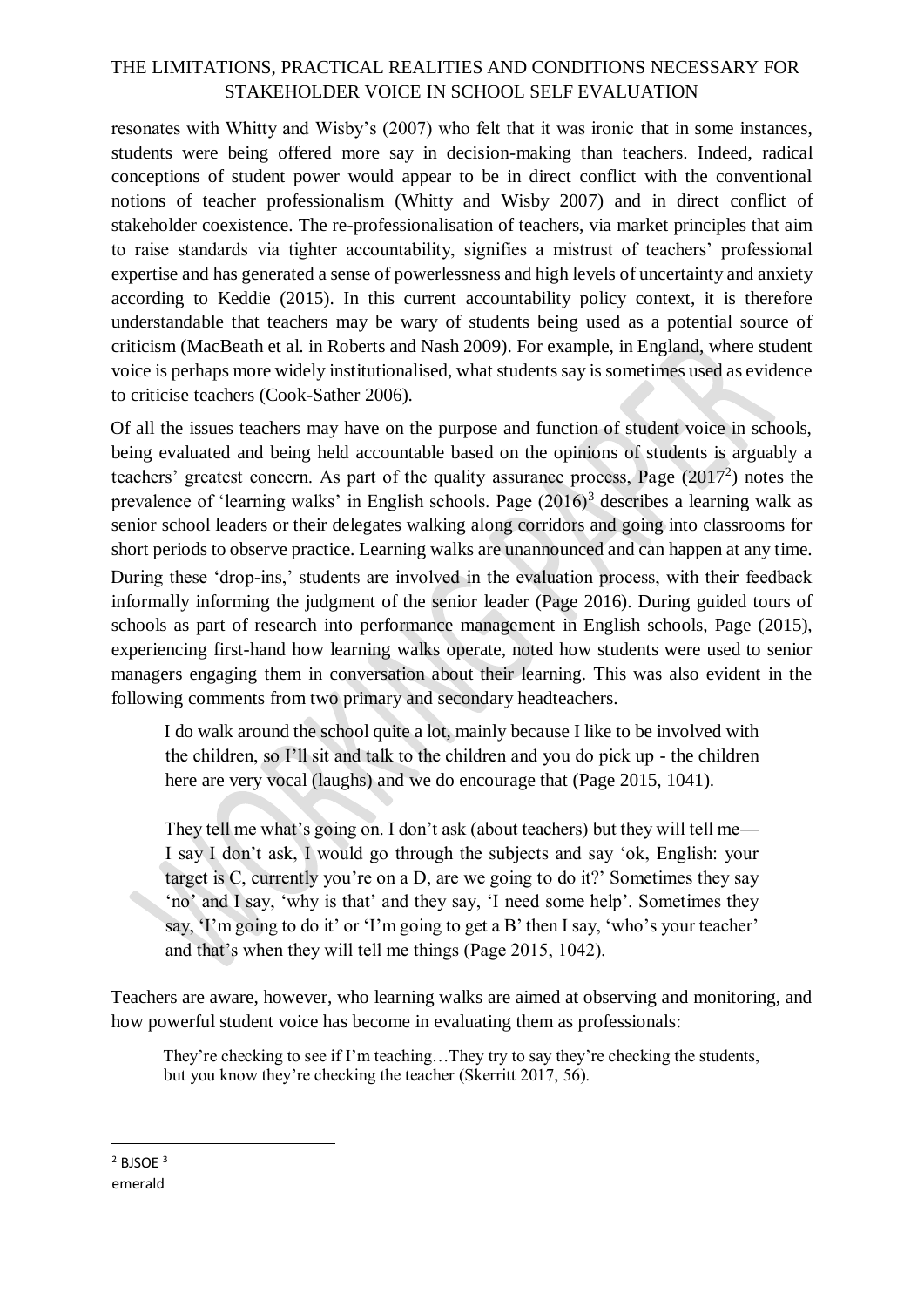resonates with Whitty and Wisby's (2007) who felt that it was ironic that in some instances, students were being offered more say in decision-making than teachers. Indeed, radical conceptions of student power would appear to be in direct conflict with the conventional notions of teacher professionalism (Whitty and Wisby 2007) and in direct conflict of stakeholder coexistence. The re-professionalisation of teachers, via market principles that aim to raise standards via tighter accountability, signifies a mistrust of teachers' professional expertise and has generated a sense of powerlessness and high levels of uncertainty and anxiety according to Keddie (2015). In this current accountability policy context, it is therefore understandable that teachers may be wary of students being used as a potential source of criticism (MacBeath et al. in Roberts and Nash 2009). For example, in England, where student voice is perhaps more widely institutionalised, what students say is sometimes used as evidence to criticise teachers (Cook-Sather 2006).

Of all the issues teachers may have on the purpose and function of student voice in schools, being evaluated and being held accountable based on the opinions of students is arguably a teachers' greatest concern. As part of the quality assurance process, Page  $(2017^2)$  notes the prevalence of 'learning walks' in English schools. Page  $(2016)^3$  describes a learning walk as senior school leaders or their delegates walking along corridors and going into classrooms for short periods to observe practice. Learning walks are unannounced and can happen at any time. During these 'drop-ins,' students are involved in the evaluation process, with their feedback informally informing the judgment of the senior leader (Page 2016). During guided tours of schools as part of research into performance management in English schools, Page (2015), experiencing first-hand how learning walks operate, noted how students were used to senior managers engaging them in conversation about their learning. This was also evident in the following comments from two primary and secondary headteachers.

I do walk around the school quite a lot, mainly because I like to be involved with the children, so I'll sit and talk to the children and you do pick up - the children here are very vocal (laughs) and we do encourage that (Page 2015, 1041).

They tell me what's going on. I don't ask (about teachers) but they will tell me— I say I don't ask, I would go through the subjects and say 'ok, English: your target is C, currently you're on a D, are we going to do it?' Sometimes they say 'no' and I say, 'why is that' and they say, 'I need some help'. Sometimes they say, 'I'm going to do it' or 'I'm going to get a B' then I say, 'who's your teacher' and that's when they will tell me things (Page 2015, 1042).

Teachers are aware, however, who learning walks are aimed at observing and monitoring, and how powerful student voice has become in evaluating them as professionals:

They're checking to see if I'm teaching…They try to say they're checking the students, but you know they're checking the teacher (Skerritt 2017, 56).

 $<sup>2</sup>$  BJSOE  $<sup>3</sup>$ </sup></sup> emerald

1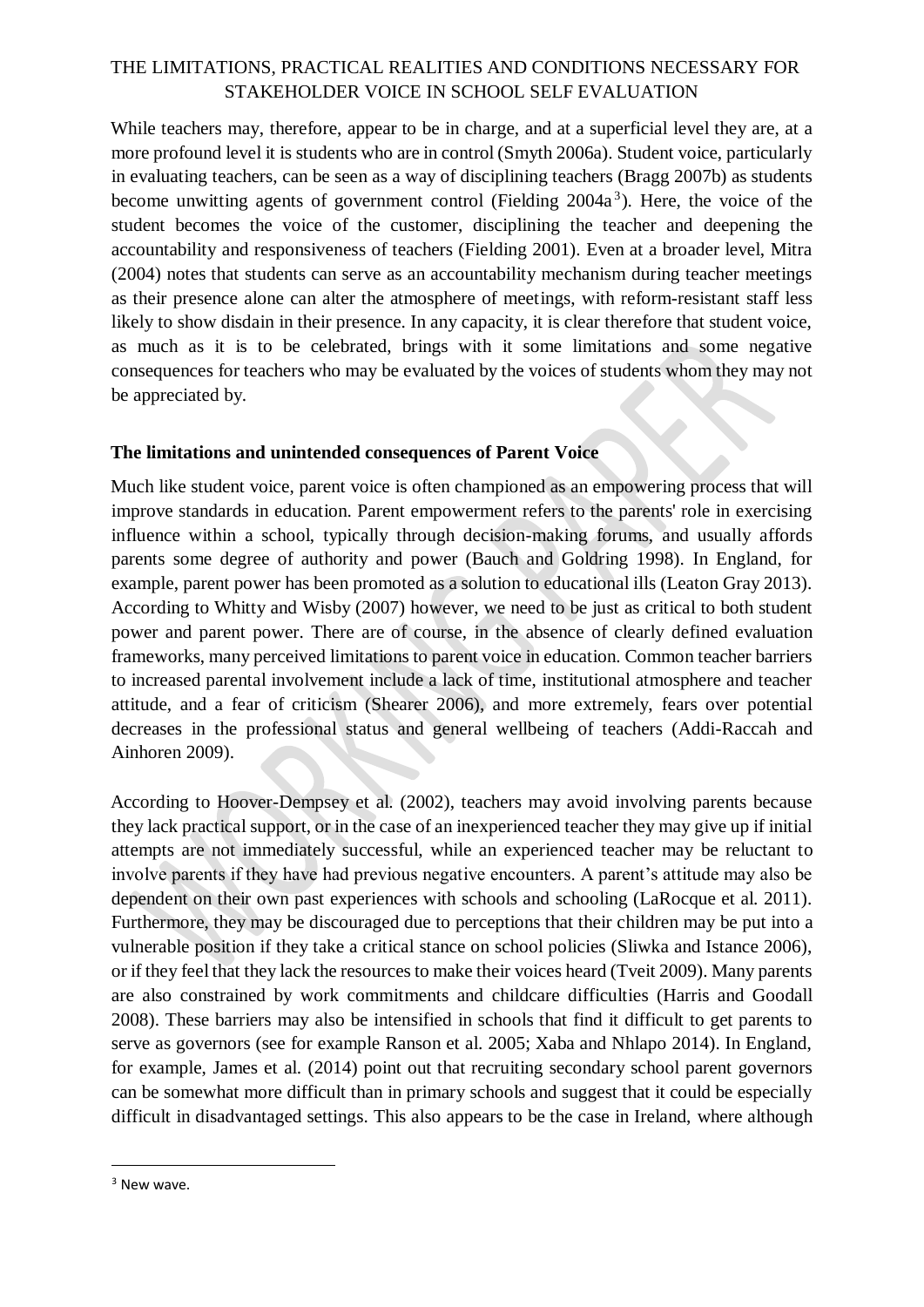While teachers may, therefore, appear to be in charge, and at a superficial level they are, at a more profound level it is students who are in control (Smyth 2006a). Student voice, particularly in evaluating teachers, can be seen as a way of disciplining teachers (Bragg 2007b) as students become unwitting agents of government control (Fielding  $2004a<sup>3</sup>$ ). Here, the voice of the student becomes the voice of the customer, disciplining the teacher and deepening the accountability and responsiveness of teachers (Fielding 2001). Even at a broader level, Mitra (2004) notes that students can serve as an accountability mechanism during teacher meetings as their presence alone can alter the atmosphere of meetings, with reform-resistant staff less likely to show disdain in their presence. In any capacity, it is clear therefore that student voice, as much as it is to be celebrated, brings with it some limitations and some negative consequences for teachers who may be evaluated by the voices of students whom they may not be appreciated by.

### **The limitations and unintended consequences of Parent Voice**

Much like student voice, parent voice is often championed as an empowering process that will improve standards in education. Parent empowerment refers to the parents' role in exercising influence within a school, typically through decision-making forums, and usually affords parents some degree of authority and power (Bauch and Goldring 1998). In England, for example, parent power has been promoted as a solution to educational ills (Leaton Gray 2013). According to Whitty and Wisby (2007) however, we need to be just as critical to both student power and parent power. There are of course, in the absence of clearly defined evaluation frameworks, many perceived limitations to parent voice in education. Common teacher barriers to increased parental involvement include a lack of time, institutional atmosphere and teacher attitude, and a fear of criticism (Shearer 2006), and more extremely, fears over potential decreases in the professional status and general wellbeing of teachers (Addi-Raccah and Ainhoren 2009).

According to Hoover-Dempsey et al. (2002), teachers may avoid involving parents because they lack practical support, or in the case of an inexperienced teacher they may give up if initial attempts are not immediately successful, while an experienced teacher may be reluctant to involve parents if they have had previous negative encounters. A parent's attitude may also be dependent on their own past experiences with schools and schooling (LaRocque et al. 2011). Furthermore, they may be discouraged due to perceptions that their children may be put into a vulnerable position if they take a critical stance on school policies (Sliwka and Istance 2006), or if they feel that they lack the resources to make their voices heard (Tveit 2009). Many parents are also constrained by work commitments and childcare difficulties (Harris and Goodall 2008). These barriers may also be intensified in schools that find it difficult to get parents to serve as governors (see for example Ranson et al. 2005; Xaba and Nhlapo 2014). In England, for example, James et al. (2014) point out that recruiting secondary school parent governors can be somewhat more difficult than in primary schools and suggest that it could be especially difficult in disadvantaged settings. This also appears to be the case in Ireland, where although

1

<sup>&</sup>lt;sup>3</sup> New wave.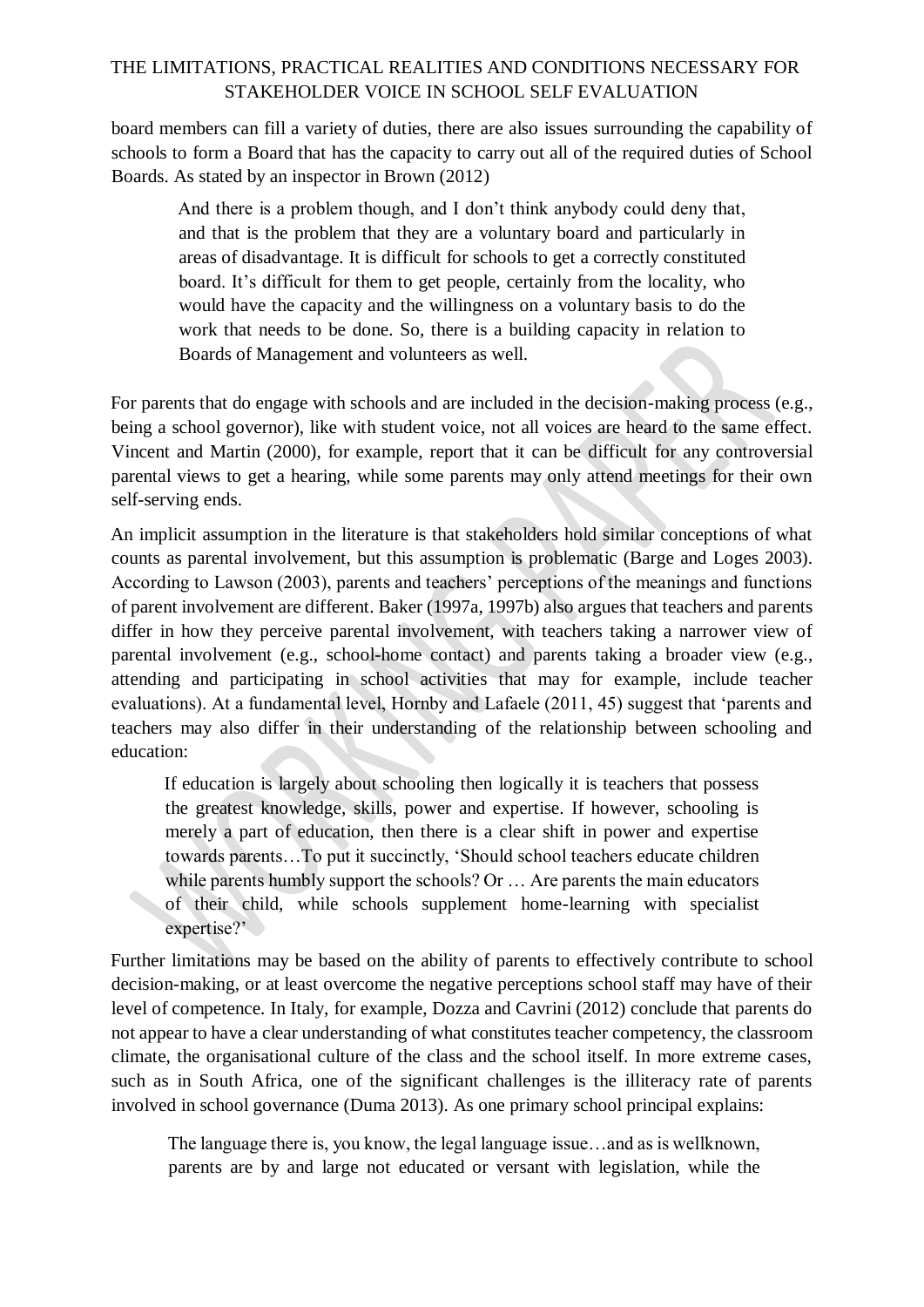board members can fill a variety of duties, there are also issues surrounding the capability of schools to form a Board that has the capacity to carry out all of the required duties of School Boards. As stated by an inspector in Brown (2012)

And there is a problem though, and I don't think anybody could deny that, and that is the problem that they are a voluntary board and particularly in areas of disadvantage. It is difficult for schools to get a correctly constituted board. It's difficult for them to get people, certainly from the locality, who would have the capacity and the willingness on a voluntary basis to do the work that needs to be done. So, there is a building capacity in relation to Boards of Management and volunteers as well.

For parents that do engage with schools and are included in the decision-making process (e.g., being a school governor), like with student voice, not all voices are heard to the same effect. Vincent and Martin (2000), for example, report that it can be difficult for any controversial parental views to get a hearing, while some parents may only attend meetings for their own self-serving ends.

An implicit assumption in the literature is that stakeholders hold similar conceptions of what counts as parental involvement, but this assumption is problematic (Barge and Loges 2003). According to Lawson (2003), parents and teachers' perceptions of the meanings and functions of parent involvement are different. Baker (1997a, 1997b) also argues that teachers and parents differ in how they perceive parental involvement, with teachers taking a narrower view of parental involvement (e.g., school-home contact) and parents taking a broader view (e.g., attending and participating in school activities that may for example, include teacher evaluations). At a fundamental level, Hornby and Lafaele (2011, 45) suggest that 'parents and teachers may also differ in their understanding of the relationship between schooling and education:

If education is largely about schooling then logically it is teachers that possess the greatest knowledge, skills, power and expertise. If however, schooling is merely a part of education, then there is a clear shift in power and expertise towards parents…To put it succinctly, 'Should school teachers educate children while parents humbly support the schools? Or ... Are parents the main educators of their child, while schools supplement home-learning with specialist expertise?'

Further limitations may be based on the ability of parents to effectively contribute to school decision-making, or at least overcome the negative perceptions school staff may have of their level of competence. In Italy, for example, Dozza and Cavrini (2012) conclude that parents do not appear to have a clear understanding of what constitutes teacher competency, the classroom climate, the organisational culture of the class and the school itself. In more extreme cases, such as in South Africa, one of the significant challenges is the illiteracy rate of parents involved in school governance (Duma 2013). As one primary school principal explains:

The language there is, you know, the legal language issue…and as is wellknown, parents are by and large not educated or versant with legislation, while the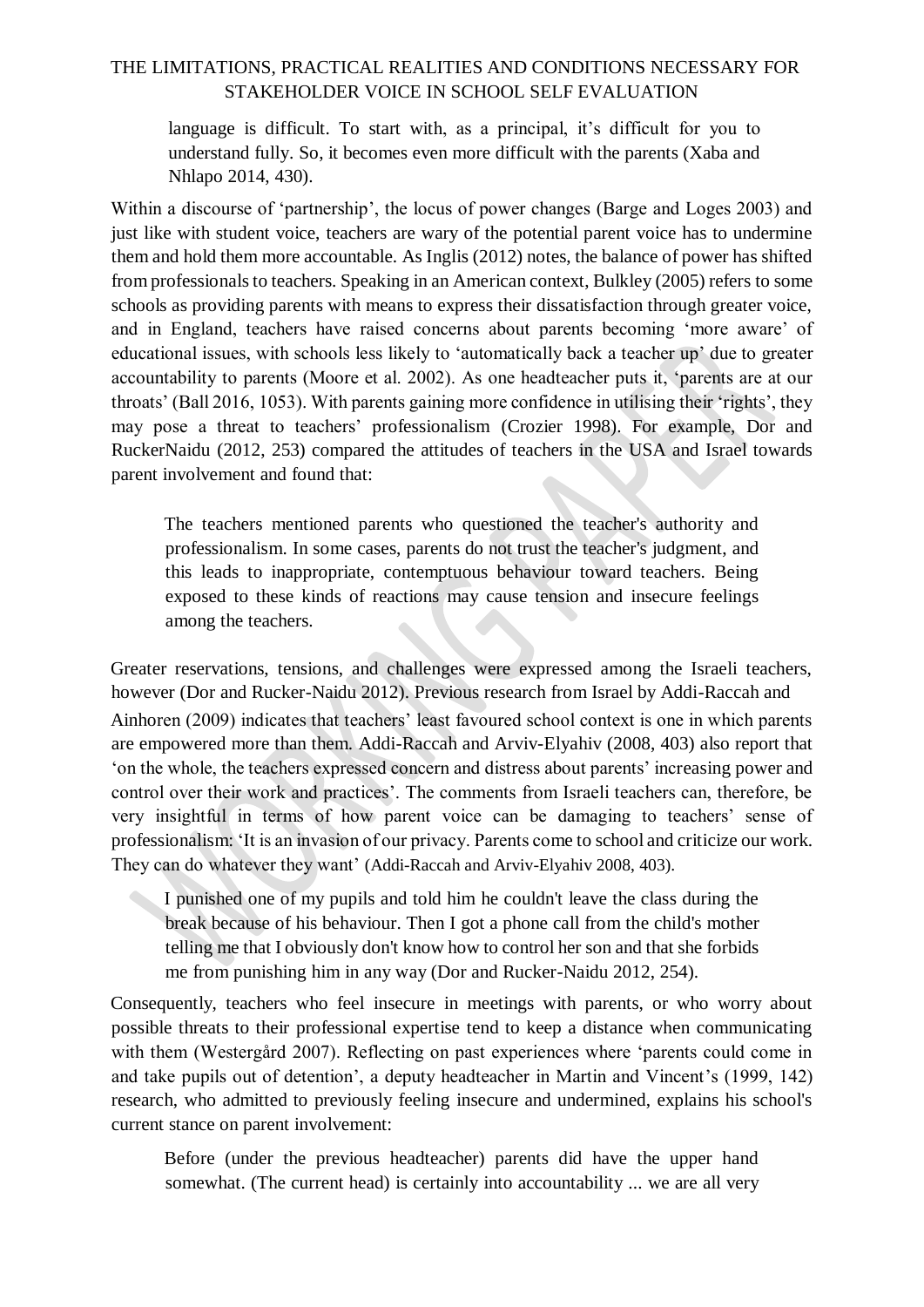language is difficult. To start with, as a principal, it's difficult for you to understand fully. So, it becomes even more difficult with the parents (Xaba and Nhlapo 2014, 430).

Within a discourse of 'partnership', the locus of power changes (Barge and Loges 2003) and just like with student voice, teachers are wary of the potential parent voice has to undermine them and hold them more accountable. As Inglis (2012) notes, the balance of power has shifted from professionals to teachers. Speaking in an American context, Bulkley (2005) refers to some schools as providing parents with means to express their dissatisfaction through greater voice, and in England, teachers have raised concerns about parents becoming 'more aware' of educational issues, with schools less likely to 'automatically back a teacher up' due to greater accountability to parents (Moore et al. 2002). As one headteacher puts it, 'parents are at our throats' (Ball 2016, 1053). With parents gaining more confidence in utilising their 'rights', they may pose a threat to teachers' professionalism (Crozier 1998). For example, Dor and RuckerNaidu (2012, 253) compared the attitudes of teachers in the USA and Israel towards parent involvement and found that:

The teachers mentioned parents who questioned the teacher's authority and professionalism. In some cases, parents do not trust the teacher's judgment, and this leads to inappropriate, contemptuous behaviour toward teachers. Being exposed to these kinds of reactions may cause tension and insecure feelings among the teachers.

Greater reservations, tensions, and challenges were expressed among the Israeli teachers, however (Dor and Rucker-Naidu 2012). Previous research from Israel by Addi-Raccah and Ainhoren (2009) indicates that teachers' least favoured school context is one in which parents are empowered more than them. Addi-Raccah and Arviv-Elyahiv (2008, 403) also report that 'on the whole, the teachers expressed concern and distress about parents' increasing power and control over their work and practices'. The comments from Israeli teachers can, therefore, be very insightful in terms of how parent voice can be damaging to teachers' sense of professionalism: 'It is an invasion of our privacy. Parents come to school and criticize our work. They can do whatever they want' (Addi-Raccah and Arviv-Elyahiv 2008, 403).

I punished one of my pupils and told him he couldn't leave the class during the break because of his behaviour. Then I got a phone call from the child's mother telling me that I obviously don't know how to control her son and that she forbids me from punishing him in any way (Dor and Rucker-Naidu 2012, 254).

Consequently, teachers who feel insecure in meetings with parents, or who worry about possible threats to their professional expertise tend to keep a distance when communicating with them (Westergård 2007). Reflecting on past experiences where 'parents could come in and take pupils out of detention', a deputy headteacher in Martin and Vincent's (1999, 142) research, who admitted to previously feeling insecure and undermined, explains his school's current stance on parent involvement:

Before (under the previous headteacher) parents did have the upper hand somewhat. (The current head) is certainly into accountability ... we are all very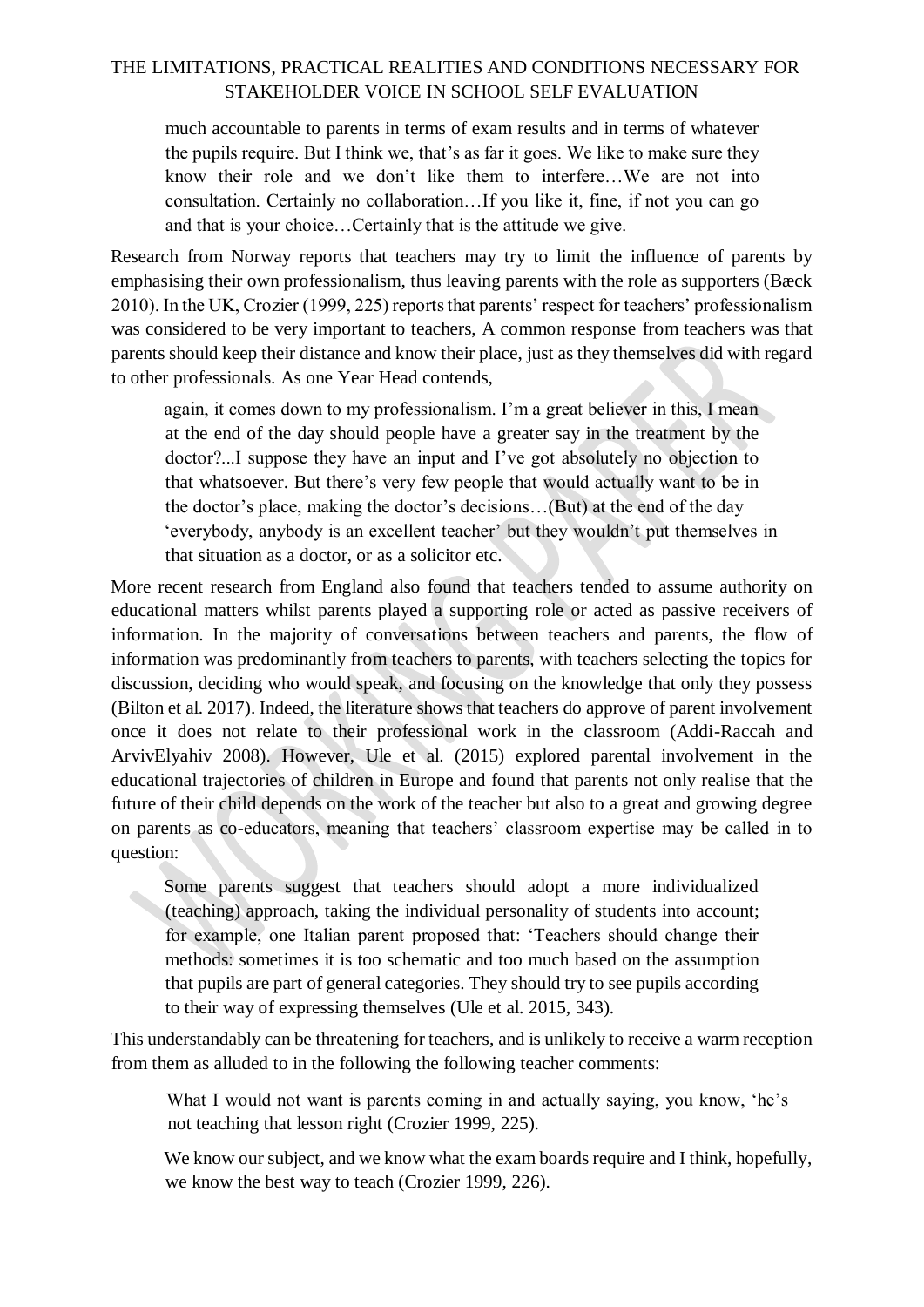much accountable to parents in terms of exam results and in terms of whatever the pupils require. But I think we, that's as far it goes. We like to make sure they know their role and we don't like them to interfere…We are not into consultation. Certainly no collaboration…If you like it, fine, if not you can go and that is your choice…Certainly that is the attitude we give.

Research from Norway reports that teachers may try to limit the influence of parents by emphasising their own professionalism, thus leaving parents with the role as supporters (Bæck 2010). In the UK, Crozier (1999, 225) reports that parents' respect for teachers' professionalism was considered to be very important to teachers, A common response from teachers was that parents should keep their distance and know their place, just as they themselves did with regard to other professionals. As one Year Head contends,

again, it comes down to my professionalism. I'm a great believer in this, I mean at the end of the day should people have a greater say in the treatment by the doctor?...I suppose they have an input and I've got absolutely no objection to that whatsoever. But there's very few people that would actually want to be in the doctor's place, making the doctor's decisions…(But) at the end of the day 'everybody, anybody is an excellent teacher' but they wouldn't put themselves in that situation as a doctor, or as a solicitor etc.

More recent research from England also found that teachers tended to assume authority on educational matters whilst parents played a supporting role or acted as passive receivers of information. In the majority of conversations between teachers and parents, the flow of information was predominantly from teachers to parents, with teachers selecting the topics for discussion, deciding who would speak, and focusing on the knowledge that only they possess (Bilton et al. 2017). Indeed, the literature shows that teachers do approve of parent involvement once it does not relate to their professional work in the classroom (Addi-Raccah and ArvivElyahiv 2008). However, Ule et al. (2015) explored parental involvement in the educational trajectories of children in Europe and found that parents not only realise that the future of their child depends on the work of the teacher but also to a great and growing degree on parents as co-educators, meaning that teachers' classroom expertise may be called in to question:

Some parents suggest that teachers should adopt a more individualized (teaching) approach, taking the individual personality of students into account; for example, one Italian parent proposed that: 'Teachers should change their methods: sometimes it is too schematic and too much based on the assumption that pupils are part of general categories. They should try to see pupils according to their way of expressing themselves (Ule et al. 2015, 343).

This understandably can be threatening for teachers, and is unlikely to receive a warm reception from them as alluded to in the following the following teacher comments:

What I would not want is parents coming in and actually saying, you know, 'he's not teaching that lesson right (Crozier 1999, 225).

We know our subject, and we know what the exam boards require and I think, hopefully, we know the best way to teach (Crozier 1999, 226).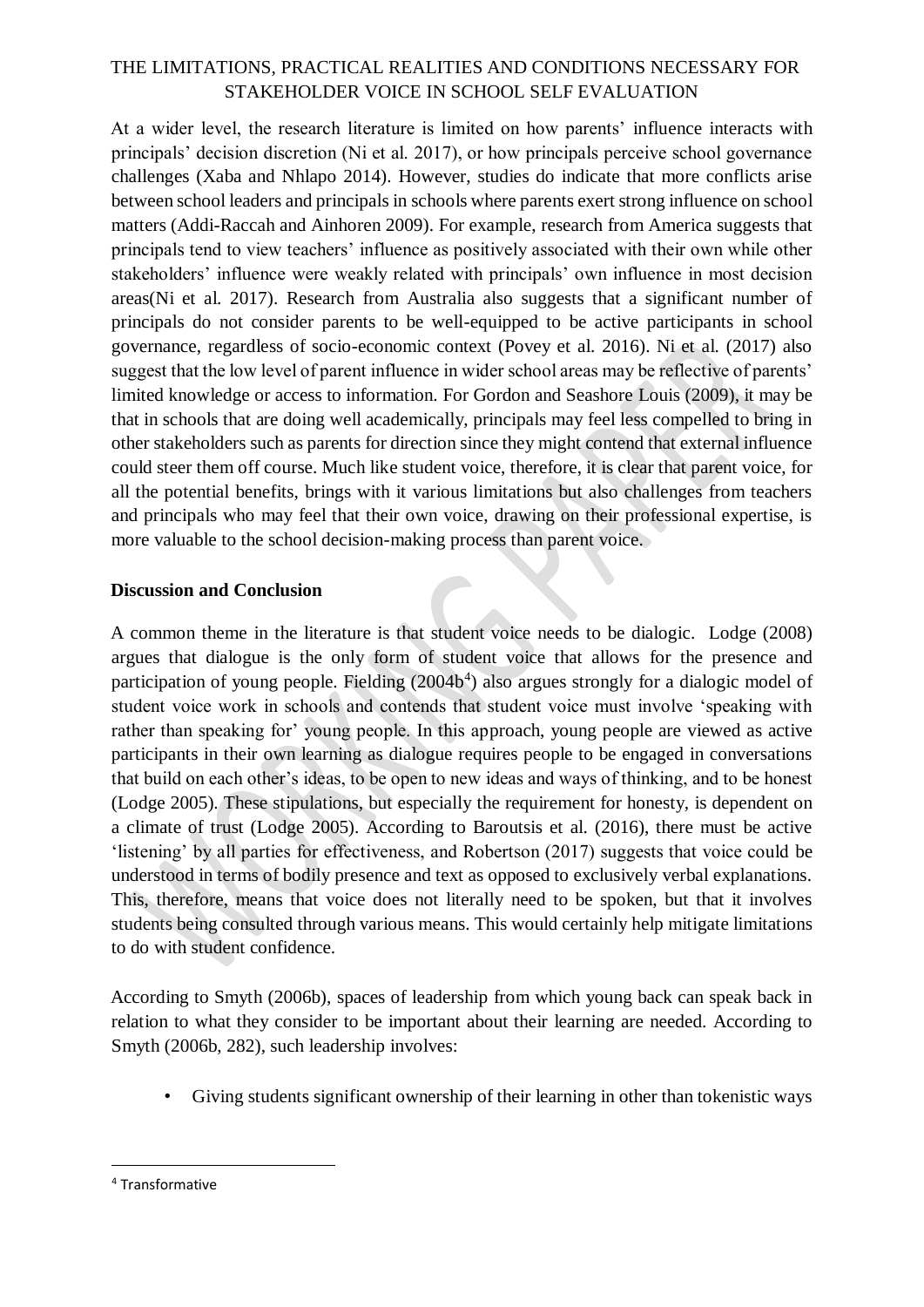At a wider level, the research literature is limited on how parents' influence interacts with principals' decision discretion (Ni et al. 2017), or how principals perceive school governance challenges (Xaba and Nhlapo 2014). However, studies do indicate that more conflicts arise between school leaders and principals in schools where parents exert strong influence on school matters (Addi-Raccah and Ainhoren 2009). For example, research from America suggests that principals tend to view teachers' influence as positively associated with their own while other stakeholders' influence were weakly related with principals' own influence in most decision areas(Ni et al. 2017). Research from Australia also suggests that a significant number of principals do not consider parents to be well-equipped to be active participants in school governance, regardless of socio-economic context (Povey et al. 2016). Ni et al. (2017) also suggest that the low level of parent influence in wider school areas may be reflective of parents' limited knowledge or access to information. For Gordon and Seashore Louis (2009), it may be that in schools that are doing well academically, principals may feel less compelled to bring in other stakeholders such as parents for direction since they might contend that external influence could steer them off course. Much like student voice, therefore, it is clear that parent voice, for all the potential benefits, brings with it various limitations but also challenges from teachers and principals who may feel that their own voice, drawing on their professional expertise, is more valuable to the school decision-making process than parent voice.

#### **Discussion and Conclusion**

A common theme in the literature is that student voice needs to be dialogic. Lodge (2008) argues that dialogue is the only form of student voice that allows for the presence and participation of young people. Fielding (2004b<sup>4</sup>) also argues strongly for a dialogic model of student voice work in schools and contends that student voice must involve 'speaking with rather than speaking for' young people. In this approach, young people are viewed as active participants in their own learning as dialogue requires people to be engaged in conversations that build on each other's ideas, to be open to new ideas and ways of thinking, and to be honest (Lodge 2005). These stipulations, but especially the requirement for honesty, is dependent on a climate of trust (Lodge 2005). According to Baroutsis et al. (2016), there must be active 'listening' by all parties for effectiveness, and Robertson (2017) suggests that voice could be understood in terms of bodily presence and text as opposed to exclusively verbal explanations. This, therefore, means that voice does not literally need to be spoken, but that it involves students being consulted through various means. This would certainly help mitigate limitations to do with student confidence.

According to Smyth (2006b), spaces of leadership from which young back can speak back in relation to what they consider to be important about their learning are needed. According to Smyth (2006b, 282), such leadership involves:

• Giving students significant ownership of their learning in other than tokenistic ways

1

<sup>4</sup> Transformative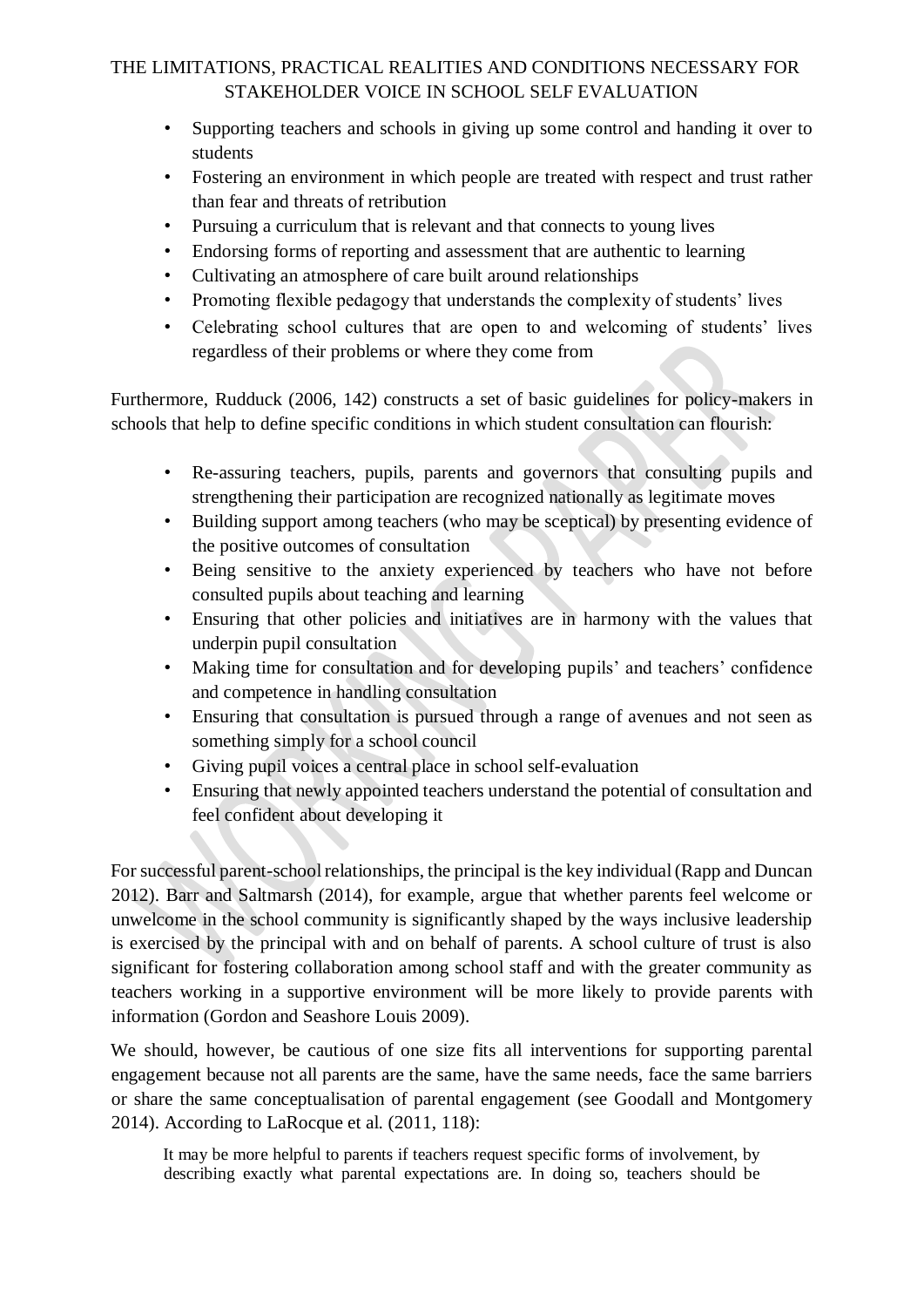- Supporting teachers and schools in giving up some control and handing it over to students
- Fostering an environment in which people are treated with respect and trust rather than fear and threats of retribution
- Pursuing a curriculum that is relevant and that connects to young lives
- Endorsing forms of reporting and assessment that are authentic to learning
- Cultivating an atmosphere of care built around relationships
- Promoting flexible pedagogy that understands the complexity of students' lives
- Celebrating school cultures that are open to and welcoming of students' lives regardless of their problems or where they come from

Furthermore, Rudduck (2006, 142) constructs a set of basic guidelines for policy-makers in schools that help to define specific conditions in which student consultation can flourish:

- Re-assuring teachers, pupils, parents and governors that consulting pupils and strengthening their participation are recognized nationally as legitimate moves
- Building support among teachers (who may be sceptical) by presenting evidence of the positive outcomes of consultation
- Being sensitive to the anxiety experienced by teachers who have not before consulted pupils about teaching and learning
- Ensuring that other policies and initiatives are in harmony with the values that underpin pupil consultation
- Making time for consultation and for developing pupils' and teachers' confidence and competence in handling consultation
- Ensuring that consultation is pursued through a range of avenues and not seen as something simply for a school council
- Giving pupil voices a central place in school self-evaluation
- Ensuring that newly appointed teachers understand the potential of consultation and feel confident about developing it

For successful parent-school relationships, the principal is the key individual (Rapp and Duncan 2012). Barr and Saltmarsh (2014), for example, argue that whether parents feel welcome or unwelcome in the school community is significantly shaped by the ways inclusive leadership is exercised by the principal with and on behalf of parents. A school culture of trust is also significant for fostering collaboration among school staff and with the greater community as teachers working in a supportive environment will be more likely to provide parents with information (Gordon and Seashore Louis 2009).

We should, however, be cautious of one size fits all interventions for supporting parental engagement because not all parents are the same, have the same needs, face the same barriers or share the same conceptualisation of parental engagement (see Goodall and Montgomery 2014). According to LaRocque et al. (2011, 118):

It may be more helpful to parents if teachers request specific forms of involvement, by describing exactly what parental expectations are. In doing so, teachers should be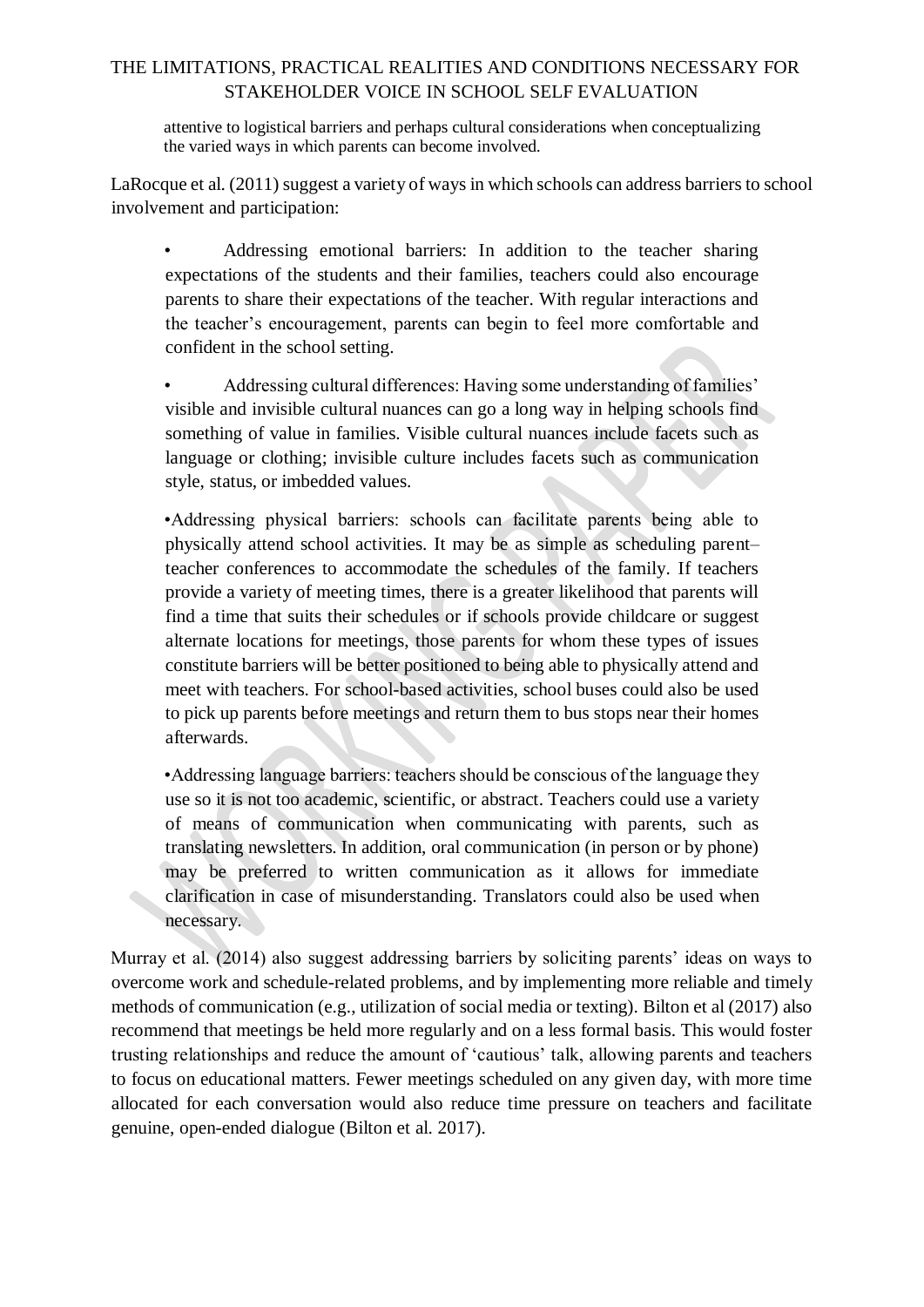attentive to logistical barriers and perhaps cultural considerations when conceptualizing the varied ways in which parents can become involved.

LaRocque et al. (2011) suggest a variety of ways in which schools can address barriers to school involvement and participation:

• Addressing emotional barriers: In addition to the teacher sharing expectations of the students and their families, teachers could also encourage parents to share their expectations of the teacher. With regular interactions and the teacher's encouragement, parents can begin to feel more comfortable and confident in the school setting.

• Addressing cultural differences: Having some understanding of families' visible and invisible cultural nuances can go a long way in helping schools find something of value in families. Visible cultural nuances include facets such as language or clothing; invisible culture includes facets such as communication style, status, or imbedded values.

•Addressing physical barriers: schools can facilitate parents being able to physically attend school activities. It may be as simple as scheduling parent– teacher conferences to accommodate the schedules of the family. If teachers provide a variety of meeting times, there is a greater likelihood that parents will find a time that suits their schedules or if schools provide childcare or suggest alternate locations for meetings, those parents for whom these types of issues constitute barriers will be better positioned to being able to physically attend and meet with teachers. For school-based activities, school buses could also be used to pick up parents before meetings and return them to bus stops near their homes afterwards.

•Addressing language barriers: teachers should be conscious of the language they use so it is not too academic, scientific, or abstract. Teachers could use a variety of means of communication when communicating with parents, such as translating newsletters. In addition, oral communication (in person or by phone) may be preferred to written communication as it allows for immediate clarification in case of misunderstanding. Translators could also be used when necessary.

Murray et al. (2014) also suggest addressing barriers by soliciting parents' ideas on ways to overcome work and schedule-related problems, and by implementing more reliable and timely methods of communication (e.g., utilization of social media or texting). Bilton et al (2017) also recommend that meetings be held more regularly and on a less formal basis. This would foster trusting relationships and reduce the amount of 'cautious' talk, allowing parents and teachers to focus on educational matters. Fewer meetings scheduled on any given day, with more time allocated for each conversation would also reduce time pressure on teachers and facilitate genuine, open-ended dialogue (Bilton et al. 2017).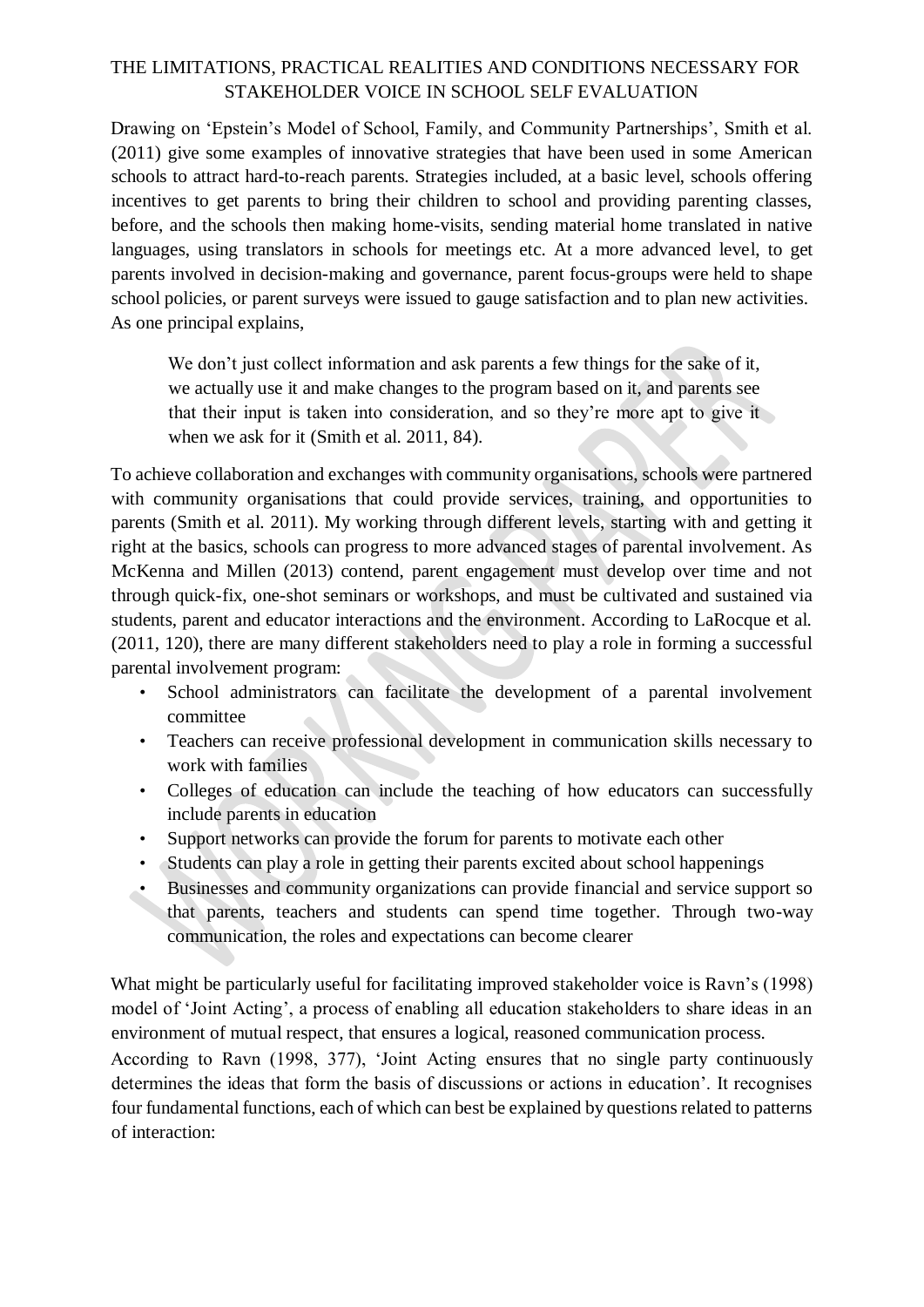Drawing on 'Epstein's Model of School, Family, and Community Partnerships', Smith et al. (2011) give some examples of innovative strategies that have been used in some American schools to attract hard-to-reach parents. Strategies included, at a basic level, schools offering incentives to get parents to bring their children to school and providing parenting classes, before, and the schools then making home-visits, sending material home translated in native languages, using translators in schools for meetings etc. At a more advanced level, to get parents involved in decision-making and governance, parent focus-groups were held to shape school policies, or parent surveys were issued to gauge satisfaction and to plan new activities. As one principal explains,

We don't just collect information and ask parents a few things for the sake of it, we actually use it and make changes to the program based on it, and parents see that their input is taken into consideration, and so they're more apt to give it when we ask for it (Smith et al. 2011, 84).

To achieve collaboration and exchanges with community organisations, schools were partnered with community organisations that could provide services, training, and opportunities to parents (Smith et al. 2011). My working through different levels, starting with and getting it right at the basics, schools can progress to more advanced stages of parental involvement. As McKenna and Millen (2013) contend, parent engagement must develop over time and not through quick-fix, one-shot seminars or workshops, and must be cultivated and sustained via students, parent and educator interactions and the environment. According to LaRocque et al. (2011, 120), there are many different stakeholders need to play a role in forming a successful parental involvement program:

- School administrators can facilitate the development of a parental involvement committee
- Teachers can receive professional development in communication skills necessary to work with families
- Colleges of education can include the teaching of how educators can successfully include parents in education
- Support networks can provide the forum for parents to motivate each other
- Students can play a role in getting their parents excited about school happenings
- Businesses and community organizations can provide financial and service support so that parents, teachers and students can spend time together. Through two-way communication, the roles and expectations can become clearer

What might be particularly useful for facilitating improved stakeholder voice is Ravn's (1998) model of 'Joint Acting', a process of enabling all education stakeholders to share ideas in an environment of mutual respect, that ensures a logical, reasoned communication process.

According to Ravn (1998, 377), 'Joint Acting ensures that no single party continuously determines the ideas that form the basis of discussions or actions in education'. It recognises four fundamental functions, each of which can best be explained by questions related to patterns of interaction: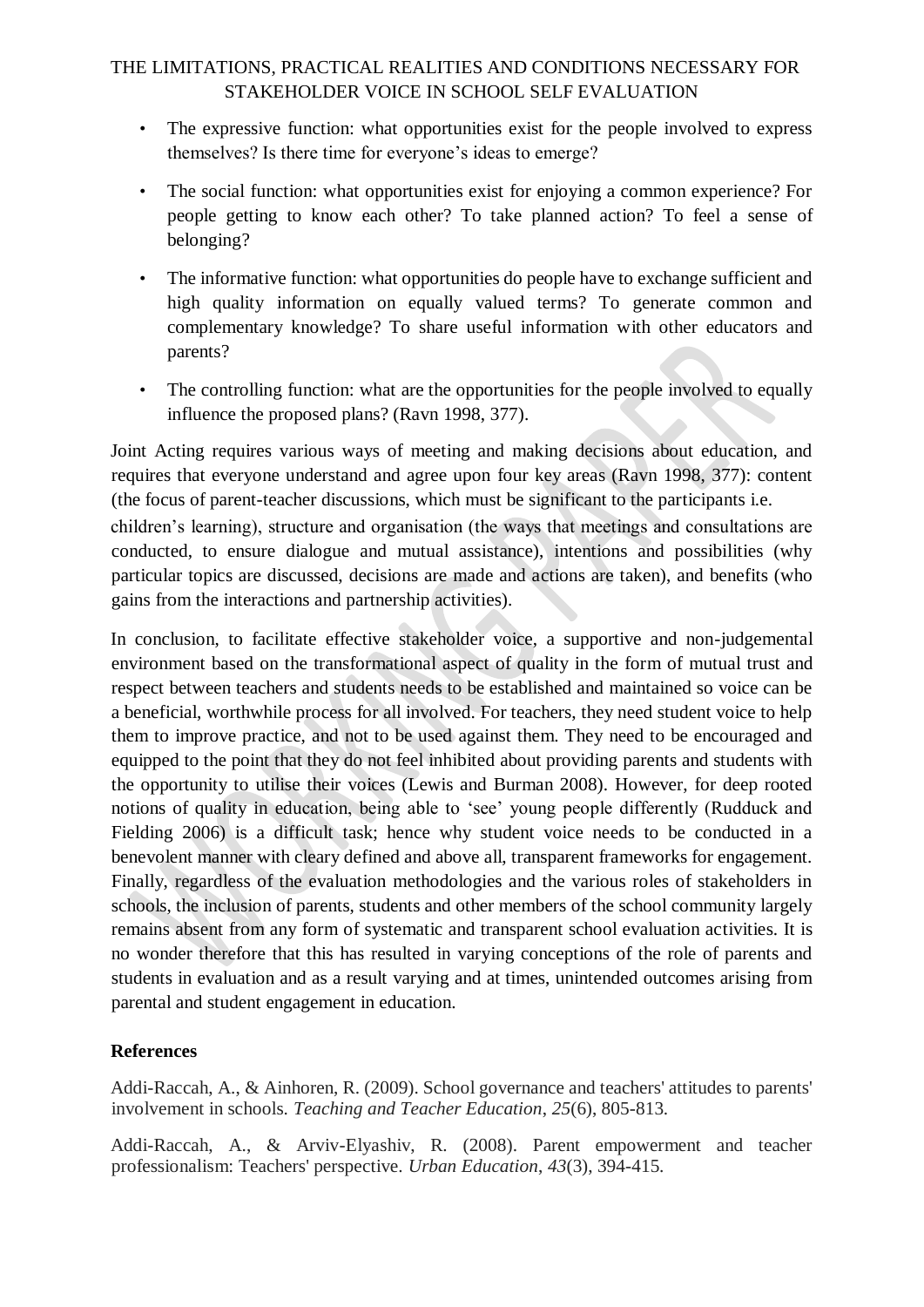- The expressive function: what opportunities exist for the people involved to express themselves? Is there time for everyone's ideas to emerge?
- The social function: what opportunities exist for enjoying a common experience? For people getting to know each other? To take planned action? To feel a sense of belonging?
- The informative function: what opportunities do people have to exchange sufficient and high quality information on equally valued terms? To generate common and complementary knowledge? To share useful information with other educators and parents?
- The controlling function: what are the opportunities for the people involved to equally influence the proposed plans? (Ravn 1998, 377).

Joint Acting requires various ways of meeting and making decisions about education, and requires that everyone understand and agree upon four key areas (Ravn 1998, 377): content (the focus of parent-teacher discussions, which must be significant to the participants i.e.

children's learning), structure and organisation (the ways that meetings and consultations are conducted, to ensure dialogue and mutual assistance), intentions and possibilities (why particular topics are discussed, decisions are made and actions are taken), and benefits (who gains from the interactions and partnership activities).

In conclusion, to facilitate effective stakeholder voice, a supportive and non-judgemental environment based on the transformational aspect of quality in the form of mutual trust and respect between teachers and students needs to be established and maintained so voice can be a beneficial, worthwhile process for all involved. For teachers, they need student voice to help them to improve practice, and not to be used against them. They need to be encouraged and equipped to the point that they do not feel inhibited about providing parents and students with the opportunity to utilise their voices (Lewis and Burman 2008). However, for deep rooted notions of quality in education, being able to 'see' young people differently (Rudduck and Fielding 2006) is a difficult task; hence why student voice needs to be conducted in a benevolent manner with cleary defined and above all, transparent frameworks for engagement. Finally, regardless of the evaluation methodologies and the various roles of stakeholders in schools, the inclusion of parents, students and other members of the school community largely remains absent from any form of systematic and transparent school evaluation activities. It is no wonder therefore that this has resulted in varying conceptions of the role of parents and students in evaluation and as a result varying and at times, unintended outcomes arising from parental and student engagement in education.

## **References**

Addi-Raccah, A., & Ainhoren, R. (2009). School governance and teachers' attitudes to parents' involvement in schools. *Teaching and Teacher Education*, *25*(6), 805-813.

Addi-Raccah, A., & Arviv-Elyashiv, R. (2008). Parent empowerment and teacher professionalism: Teachers' perspective. *Urban Education*, *43*(3), 394-415.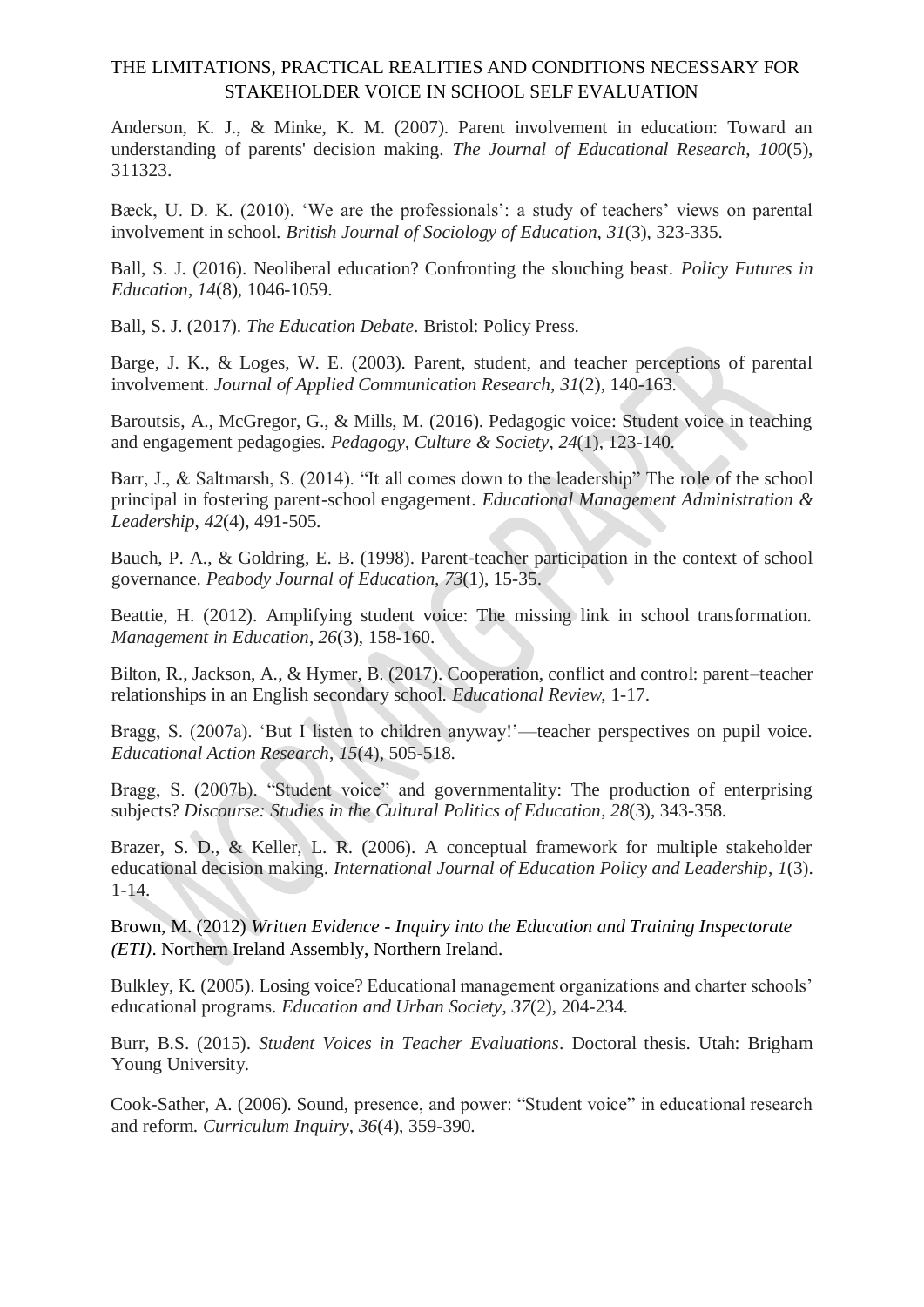Anderson, K. J., & Minke, K. M. (2007). Parent involvement in education: Toward an understanding of parents' decision making. *The Journal of Educational Research*, *100*(5), 311323.

Bæck, U. D. K. (2010). 'We are the professionals': a study of teachers' views on parental involvement in school. *British Journal of Sociology of Education*, *31*(3), 323-335.

Ball, S. J. (2016). Neoliberal education? Confronting the slouching beast. *Policy Futures in Education*, *14*(8), 1046-1059.

Ball, S. J. (2017). *The Education Debate*. Bristol: Policy Press.

Barge, J. K., & Loges, W. E. (2003). Parent, student, and teacher perceptions of parental involvement. *Journal of Applied Communication Research*, *31*(2), 140-163.

Baroutsis, A., McGregor, G., & Mills, M. (2016). Pedagogic voice: Student voice in teaching and engagement pedagogies. *Pedagogy, Culture & Society*, *24*(1), 123-140.

Barr, J., & Saltmarsh, S. (2014). "It all comes down to the leadership" The role of the school principal in fostering parent-school engagement. *Educational Management Administration & Leadership*, *42*(4), 491-505.

Bauch, P. A., & Goldring, E. B. (1998). Parent‐teacher participation in the context of school governance. *Peabody Journal of Education*, *73*(1), 15-35.

Beattie, H. (2012). Amplifying student voice: The missing link in school transformation. *Management in Education*, *26*(3), 158-160.

Bilton, R., Jackson, A., & Hymer, B. (2017). Cooperation, conflict and control: parent–teacher relationships in an English secondary school. *Educational Review*, 1-17.

Bragg, S. (2007a). 'But I listen to children anyway!'—teacher perspectives on pupil voice. *Educational Action Research*, *15*(4), 505-518.

Bragg, S. (2007b). "Student voice" and governmentality: The production of enterprising subjects? *Discourse: Studies in the Cultural Politics of Education*, *28*(3), 343-358.

Brazer, S. D., & Keller, L. R. (2006). A conceptual framework for multiple stakeholder educational decision making. *International Journal of Education Policy and Leadership*, *1*(3). 1-14.

Brown, M. (2012) *Written Evidence - Inquiry into the Education and Training Inspectorate (ETI)*. Northern Ireland Assembly, Northern Ireland.

Bulkley, K. (2005). Losing voice? Educational management organizations and charter schools' educational programs. *Education and Urban Society*, *37*(2), 204-234.

Burr, B.S. (2015). *Student Voices in Teacher Evaluations*. Doctoral thesis. Utah: Brigham Young University.

Cook-Sather, A. (2006). Sound, presence, and power: "Student voice" in educational research and reform. *Curriculum Inquiry*, *36*(4), 359-390.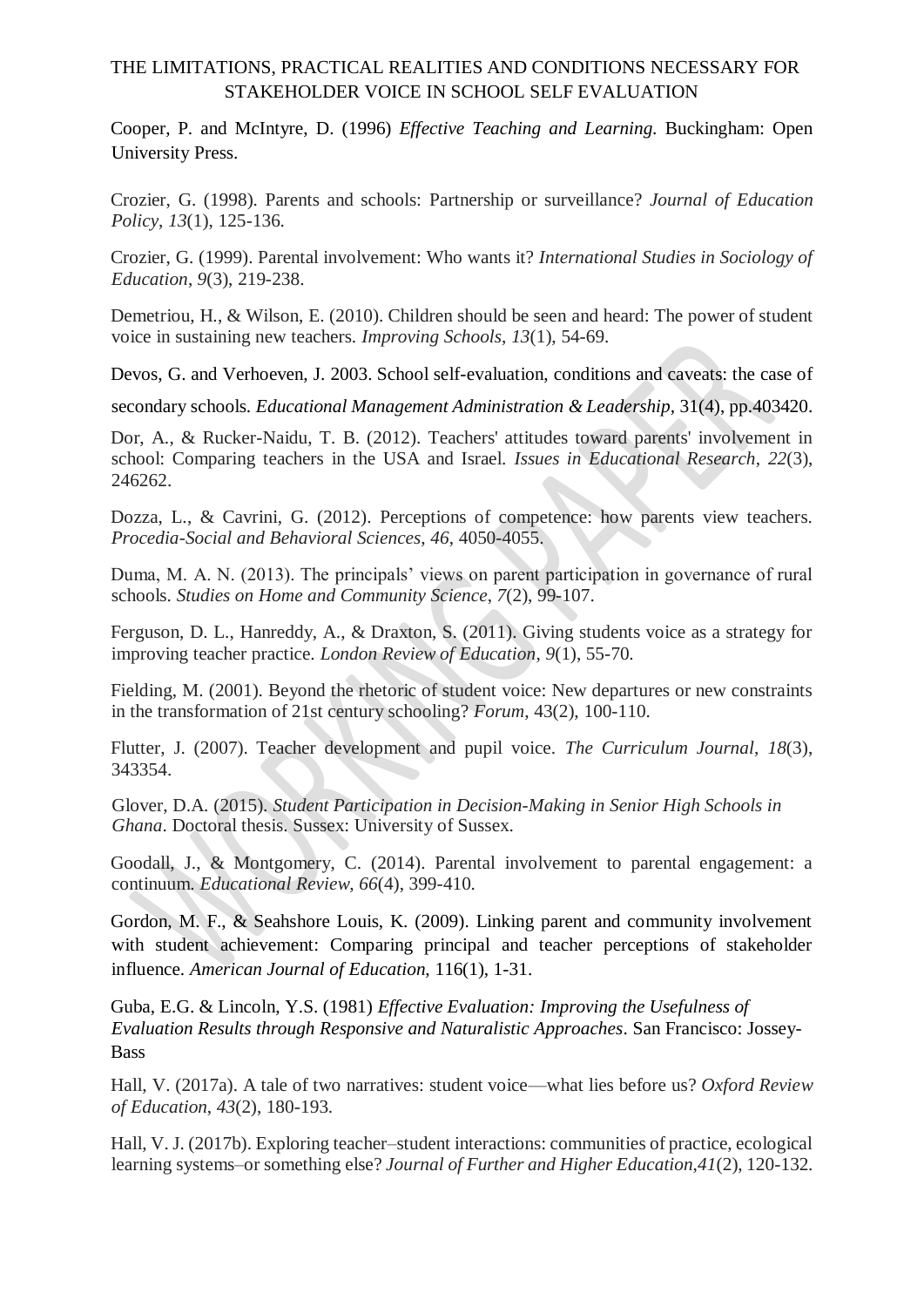Cooper, P. and McIntyre, D. (1996) *Effective Teaching and Learning.* Buckingham: Open University Press.

Crozier, G. (1998). Parents and schools: Partnership or surveillance? *Journal of Education Policy*, *13*(1), 125-136.

Crozier, G. (1999). Parental involvement: Who wants it? *International Studies in Sociology of Education*, *9*(3), 219-238.

Demetriou, H., & Wilson, E. (2010). Children should be seen and heard: The power of student voice in sustaining new teachers. *Improving Schools*, *13*(1), 54-69.

Devos, G. and Verhoeven, J. 2003. School self-evaluation, conditions and caveats: the case of

secondary schools. *Educational Management Administration & Leadership,* 31(4), pp.403420.

Dor, A., & Rucker-Naidu, T. B. (2012). Teachers' attitudes toward parents' involvement in school: Comparing teachers in the USA and Israel. *Issues in Educational Research*, *22*(3), 246262.

Dozza, L., & Cavrini, G. (2012). Perceptions of competence: how parents view teachers. *Procedia-Social and Behavioral Sciences*, *46*, 4050-4055.

Duma, M. A. N. (2013). The principals' views on parent participation in governance of rural schools. *Studies on Home and Community Science*, *7*(2), 99-107.

Ferguson, D. L., Hanreddy, A., & Draxton, S. (2011). Giving students voice as a strategy for improving teacher practice. *London Review of Education*, *9*(1), 55-70.

Fielding, M. (2001). Beyond the rhetoric of student voice: New departures or new constraints in the transformation of 21st century schooling? *Forum*, 43(2), 100-110.

Flutter, J. (2007). Teacher development and pupil voice. *The Curriculum Journal*, *18*(3), 343354.

Glover, D.A. (2015). *Student Participation in Decision-Making in Senior High Schools in Ghana*. Doctoral thesis. Sussex: University of Sussex.

Goodall, J., & Montgomery, C. (2014). Parental involvement to parental engagement: a continuum. *Educational Review*, *66*(4), 399-410.

Gordon, M. F., & Seahshore Louis, K. (2009). Linking parent and community involvement with student achievement: Comparing principal and teacher perceptions of stakeholder influence. *American Journal of Education*, 116(1), 1-31.

Guba, E.G. & Lincoln, Y.S. (1981) *Effective Evaluation: Improving the Usefulness of Evaluation Results through Responsive and Naturalistic Approaches*. San Francisco: Jossey-Bass

Hall, V. (2017a). A tale of two narratives: student voice—what lies before us? *Oxford Review of Education*, *43*(2), 180-193.

Hall, V. J. (2017b). Exploring teacher–student interactions: communities of practice, ecological learning systems–or something else? *Journal of Further and Higher Education*,*41*(2), 120-132.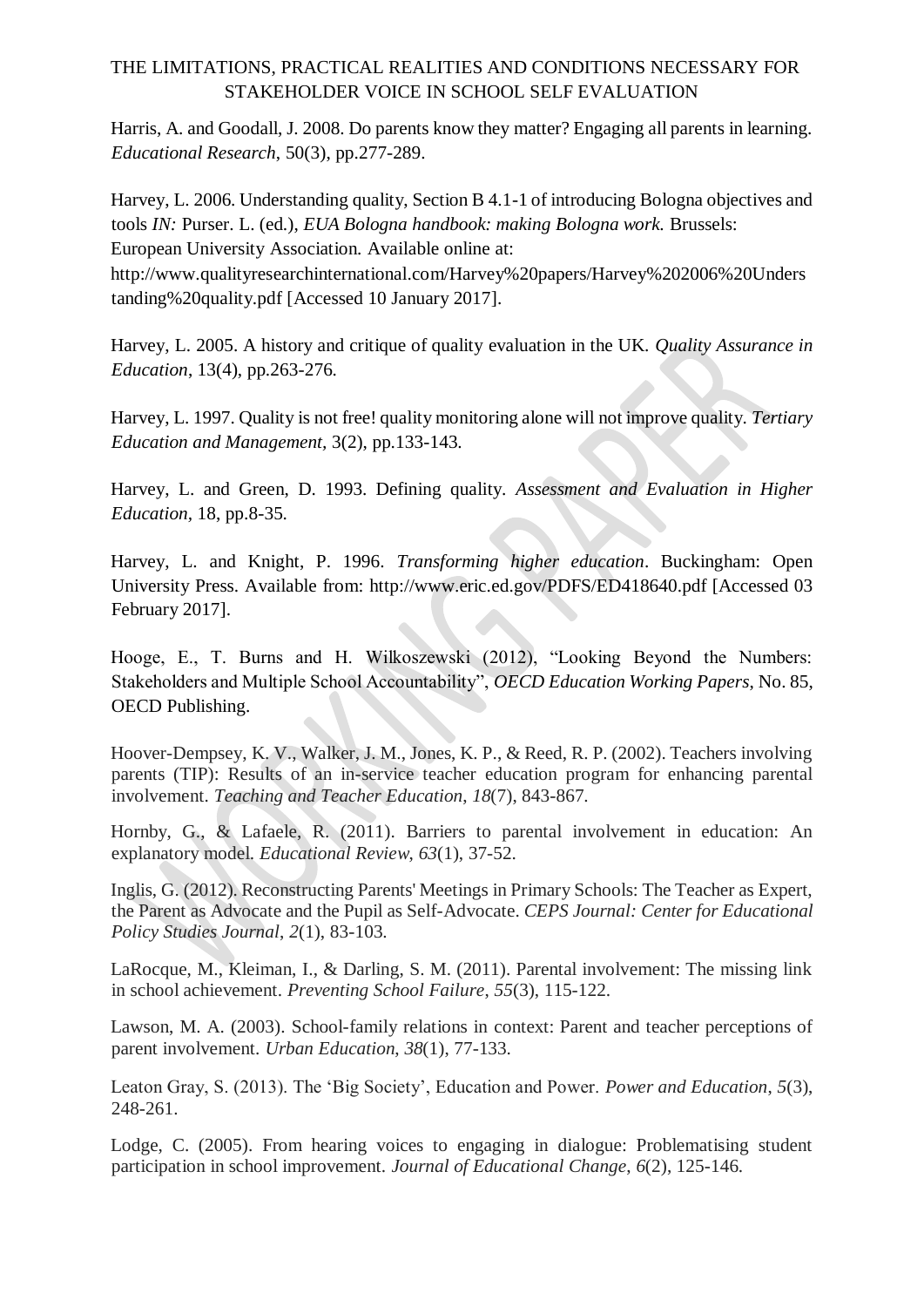Harris, A. and Goodall, J. 2008. Do parents know they matter? Engaging all parents in learning. *Educational Research*, 50(3), pp.277-289.

Harvey, L. 2006. Understanding quality, Section B 4.1-1 of introducing Bologna objectives and tools *IN:* Purser. L. (ed.), *EUA Bologna handbook: making Bologna work.* Brussels: European University Association*.* Available online at: [http://www.qualityresearchinternational.com/Harvey%20papers/Harvey%202006%20Unders](http://www.qualityresearchinternational.com/Harvey%20papers/Harvey%202006%20Understanding%20quality.pdf)  [tanding%20quality.pdf](http://www.qualityresearchinternational.com/Harvey%20papers/Harvey%202006%20Understanding%20quality.pdf) [\[](http://www.qualityresearchinternational.com/Harvey%20papers/Harvey%202006%20Understanding%20quality.pdf)Accessed 10 January 2017].

Harvey, L. 2005. A history and critique of quality evaluation in the UK. *Quality Assurance in Education*, 13(4), pp.263-276.

Harvey, L. 1997. Quality is not free! quality monitoring alone will not improve quality. *Tertiary Education and Management,* 3(2), pp.133-143.

Harvey, L. and Green, D. 1993. Defining quality. *Assessment and Evaluation in Higher Education,* 18, pp.8-35.

Harvey, L. and Knight, P. 1996. *Transforming higher education*. Buckingham: Open University Press. Available from:<http://www.eric.ed.gov/PDFS/ED418640.pdf> [Accessed 03 February 2017].

Hooge, E., T. Burns and H. Wilkoszewski (2012), "Looking Beyond the Numbers: Stakeholders and Multiple School Accountability", *OECD Education Working Papers*, No. 85, OECD Publishing.

Hoover-Dempsey, K. V., Walker, J. M., Jones, K. P., & Reed, R. P. (2002). Teachers involving parents (TIP): Results of an in-service teacher education program for enhancing parental involvement. *Teaching and Teacher Education*, *18*(7), 843-867.

Hornby, G., & Lafaele, R. (2011). Barriers to parental involvement in education: An explanatory model. *Educational Review*, *63*(1), 37-52.

Inglis, G. (2012). Reconstructing Parents' Meetings in Primary Schools: The Teacher as Expert, the Parent as Advocate and the Pupil as Self-Advocate. *CEPS Journal: Center for Educational Policy Studies Journal*, *2*(1), 83-103.

LaRocque, M., Kleiman, I., & Darling, S. M. (2011). Parental involvement: The missing link in school achievement. *Preventing School Failure*, *55*(3), 115-122.

Lawson, M. A. (2003). School-family relations in context: Parent and teacher perceptions of parent involvement. *Urban Education*, *38*(1), 77-133.

Leaton Gray, S. (2013). The 'Big Society', Education and Power. *Power and Education*, *5*(3), 248-261.

Lodge, C. (2005). From hearing voices to engaging in dialogue: Problematising student participation in school improvement. *Journal of Educational Change*, *6*(2), 125-146.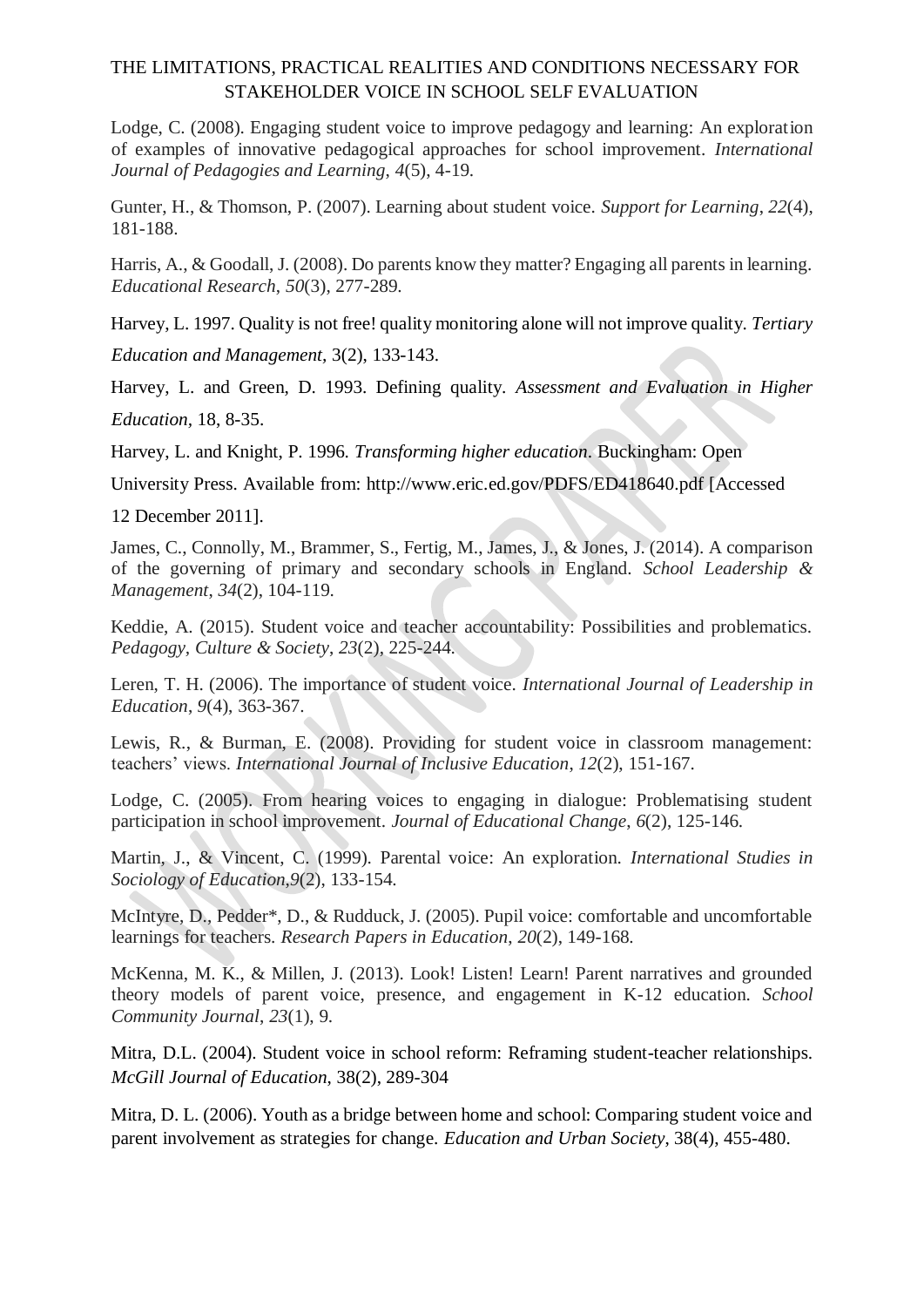Lodge, C. (2008). Engaging student voice to improve pedagogy and learning: An exploration of examples of innovative pedagogical approaches for school improvement. *International Journal of Pedagogies and Learning*, *4*(5), 4-19.

Gunter, H., & Thomson, P. (2007). Learning about student voice. *Support for Learning*, *22*(4), 181-188.

Harris, A., & Goodall, J. (2008). Do parents know they matter? Engaging all parents in learning. *Educational Research*, *50*(3), 277-289.

Harvey, L. 1997. Quality is not free! quality monitoring alone will not improve quality. *Tertiary* 

*Education and Management,* 3(2), 133-143.

Harvey, L. and Green, D. 1993. Defining quality. *Assessment and Evaluation in Higher* 

*Education,* 18, 8-35.

Harvey, L. and Knight, P. 1996. *Transforming higher education*. Buckingham: Open

University Press. Available from:<http://www.eric.ed.gov/PDFS/ED418640.pdf> [Accessed

12 December 2011].

James, C., Connolly, M., Brammer, S., Fertig, M., James, J., & Jones, J. (2014). A comparison of the governing of primary and secondary schools in England. *School Leadership & Management*, *34*(2), 104-119.

Keddie, A. (2015). Student voice and teacher accountability: Possibilities and problematics. *Pedagogy, Culture & Society*, *23*(2), 225-244.

Leren, T. H. (2006). The importance of student voice. *International Journal of Leadership in Education*, *9*(4), 363-367.

Lewis, R., & Burman, E. (2008). Providing for student voice in classroom management: teachers' views. *International Journal of Inclusive Education*, *12*(2), 151-167.

Lodge, C. (2005). From hearing voices to engaging in dialogue: Problematising student participation in school improvement. *Journal of Educational Change*, *6*(2), 125-146.

Martin, J., & Vincent, C. (1999). Parental voice: An exploration. *International Studies in Sociology of Education*,*9*(2), 133-154.

McIntyre, D., Pedder\*, D., & Rudduck, J. (2005). Pupil voice: comfortable and uncomfortable learnings for teachers. *Research Papers in Education*, *20*(2), 149-168.

McKenna, M. K., & Millen, J. (2013). Look! Listen! Learn! Parent narratives and grounded theory models of parent voice, presence, and engagement in K-12 education. *School Community Journal*, *23*(1), 9.

Mitra, D.L. (2004). Student voice in school reform: Reframing student-teacher relationships. *McGill Journal of Education*, 38(2), 289-304

Mitra, D. L. (2006). Youth as a bridge between home and school: Comparing student voice and parent involvement as strategies for change. *Education and Urban Society*, 38(4), 455-480.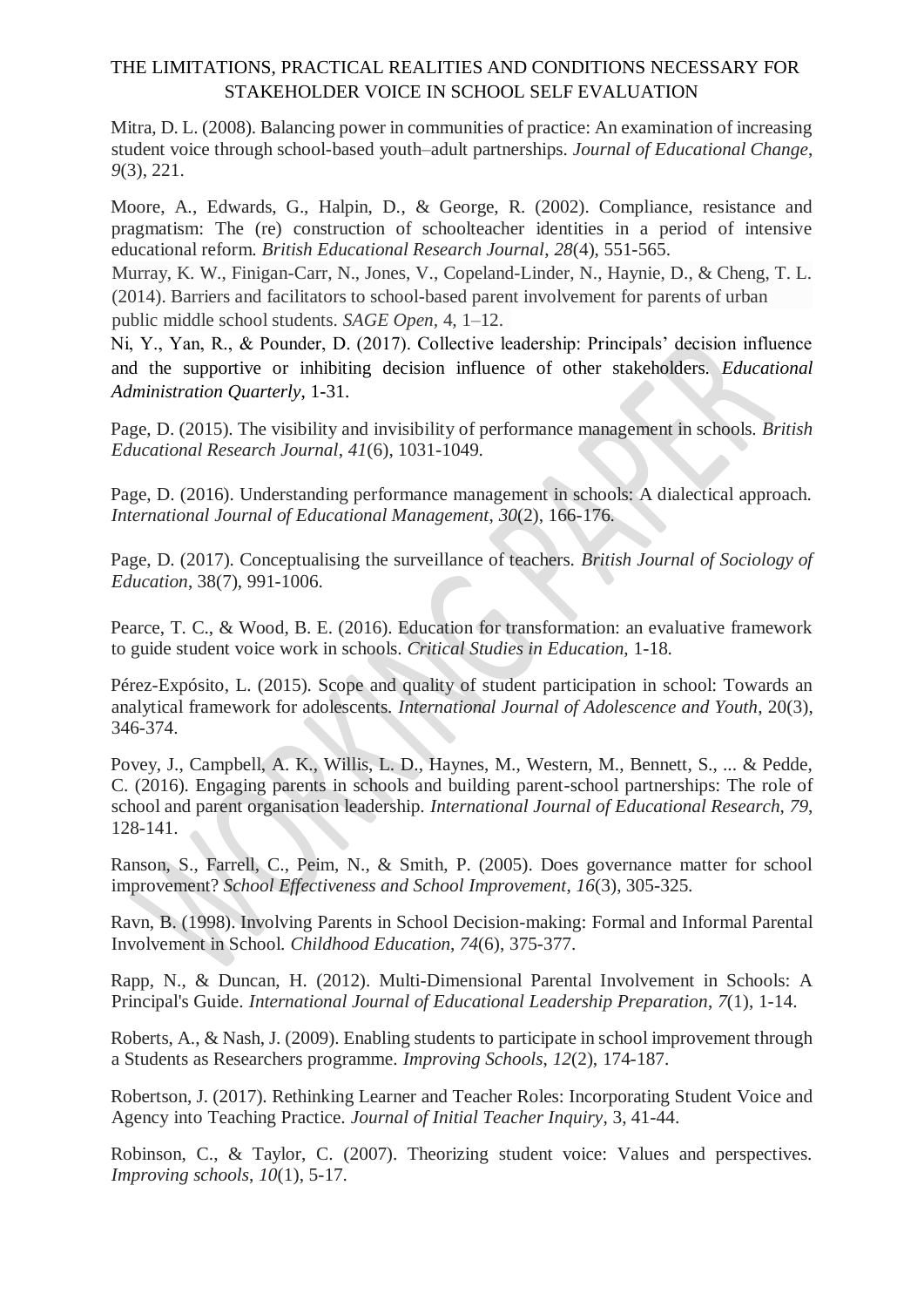Mitra, D. L. (2008). Balancing power in communities of practice: An examination of increasing student voice through school-based youth–adult partnerships. *Journal of Educational Change*, *9*(3), 221.

Moore, A., Edwards, G., Halpin, D., & George, R. (2002). Compliance, resistance and pragmatism: The (re) construction of schoolteacher identities in a period of intensive educational reform. *British Educational Research Journal*, *28*(4), 551-565.

Murray, K. W., Finigan-Carr, N., Jones, V., Copeland-Linder, N., Haynie, D., & Cheng, T. L. (2014). Barriers and facilitators to school-based parent involvement for parents of urban public middle school students. *SAGE Open,* 4*,* 1–12.

Ni, Y., Yan, R., & Pounder, D. (2017). Collective leadership: Principals' decision influence and the supportive or inhibiting decision influence of other stakeholders. *Educational Administration Quarterly*, 1-31.

Page, D. (2015). The visibility and invisibility of performance management in schools. *British Educational Research Journal*, *41*(6), 1031-1049.

Page, D. (2016). Understanding performance management in schools: A dialectical approach. *International Journal of Educational Management*, *30*(2), 166-176.

Page, D. (2017). Conceptualising the surveillance of teachers. *British Journal of Sociology of Education*, 38(7), 991-1006.

Pearce, T. C., & Wood, B. E. (2016). Education for transformation: an evaluative framework to guide student voice work in schools. *Critical Studies in Education*, 1-18.

Pérez-Expósito, L. (2015). Scope and quality of student participation in school: Towards an analytical framework for adolescents. *International Journal of Adolescence and Youth*, 20(3), 346-374.

Povey, J., Campbell, A. K., Willis, L. D., Haynes, M., Western, M., Bennett, S., ... & Pedde, C. (2016). Engaging parents in schools and building parent-school partnerships: The role of school and parent organisation leadership. *International Journal of Educational Research*, *79*, 128-141.

Ranson, S., Farrell, C., Peim, N., & Smith, P. (2005). Does governance matter for school improvement? *School Effectiveness and School Improvement*, *16*(3), 305-325.

Ravn, B. (1998). Involving Parents in School Decision-making: Formal and Informal Parental Involvement in School. *Childhood Education*, *74*(6), 375-377.

Rapp, N., & Duncan, H. (2012). Multi-Dimensional Parental Involvement in Schools: A Principal's Guide. *International Journal of Educational Leadership Preparation*, *7*(1), 1-14.

Roberts, A., & Nash, J. (2009). Enabling students to participate in school improvement through a Students as Researchers programme. *Improving Schools*, *12*(2), 174-187.

Robertson, J. (2017). Rethinking Learner and Teacher Roles: Incorporating Student Voice and Agency into Teaching Practice. *Journal of Initial Teacher Inquiry*, 3, 41-44.

Robinson, C., & Taylor, C. (2007). Theorizing student voice: Values and perspectives. *Improving schools*, *10*(1), 5-17.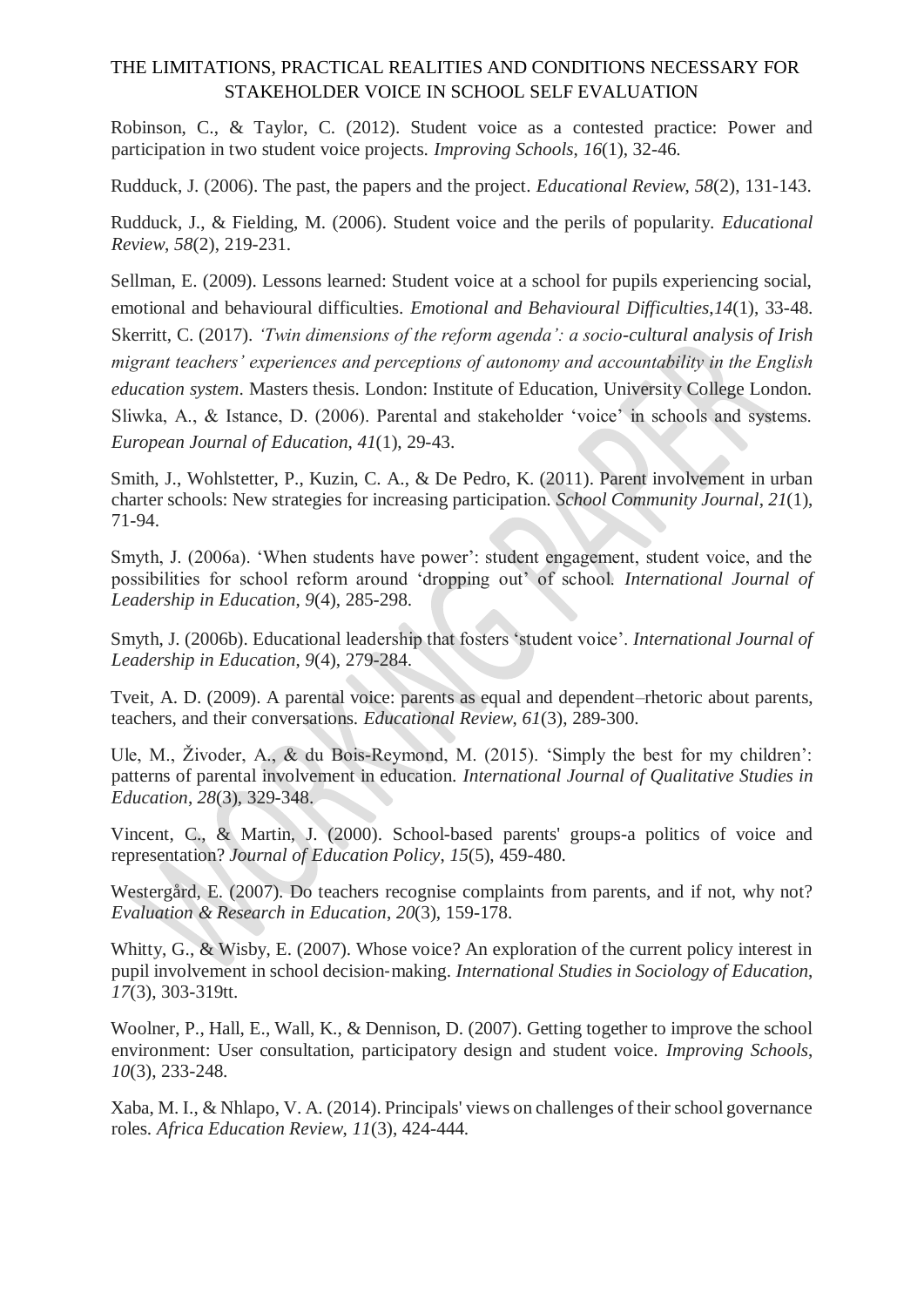Robinson, C., & Taylor, C. (2012). Student voice as a contested practice: Power and participation in two student voice projects. *Improving Schools*, *16*(1), 32-46.

Rudduck, J. (2006). The past, the papers and the project. *Educational Review*, *58*(2), 131-143.

Rudduck, J., & Fielding, M. (2006). Student voice and the perils of popularity. *Educational Review*, *58*(2), 219-231.

Sellman, E. (2009). Lessons learned: Student voice at a school for pupils experiencing social, emotional and behavioural difficulties. *Emotional and Behavioural Difficulties*,*14*(1), 33-48. Skerritt, C. (2017). *'Twin dimensions of the reform agenda': a socio-cultural analysis of Irish migrant teachers' experiences and perceptions of autonomy and accountability in the English education system*. Masters thesis. London: Institute of Education, University College London. Sliwka, A., & Istance, D. (2006). Parental and stakeholder 'voice' in schools and systems. *European Journal of Education*, *41*(1), 29-43.

Smith, J., Wohlstetter, P., Kuzin, C. A., & De Pedro, K. (2011). Parent involvement in urban charter schools: New strategies for increasing participation. *School Community Journal*, *21*(1), 71-94.

Smyth, J. (2006a). 'When students have power': student engagement, student voice, and the possibilities for school reform around 'dropping out' of school. *International Journal of Leadership in Education*, *9*(4), 285-298.

Smyth, J. (2006b). Educational leadership that fosters 'student voice'. *International Journal of Leadership in Education*, *9*(4), 279-284.

Tveit, A. D. (2009). A parental voice: parents as equal and dependent–rhetoric about parents, teachers, and their conversations. *Educational Review*, *61*(3), 289-300.

Ule, M., Živoder, A., & du Bois-Reymond, M. (2015). 'Simply the best for my children': patterns of parental involvement in education. *International Journal of Qualitative Studies in Education*, *28*(3), 329-348.

Vincent, C., & Martin, J. (2000). School-based parents' groups-a politics of voice and representation? *Journal of Education Policy*, *15*(5), 459-480.

Westergård, E. (2007). Do teachers recognise complaints from parents, and if not, why not? *Evaluation & Research in Education*, *20*(3), 159-178.

Whitty, G., & Wisby, E. (2007). Whose voice? An exploration of the current policy interest in pupil involvement in school decision‐making. *International Studies in Sociology of Education*, *17*(3), 303-319tt.

Woolner, P., Hall, E., Wall, K., & Dennison, D. (2007). Getting together to improve the school environment: User consultation, participatory design and student voice. *Improving Schools*, *10*(3), 233-248.

Xaba, M. I., & Nhlapo, V. A. (2014). Principals' views on challenges of their school governance roles. *Africa Education Review*, *11*(3), 424-444.